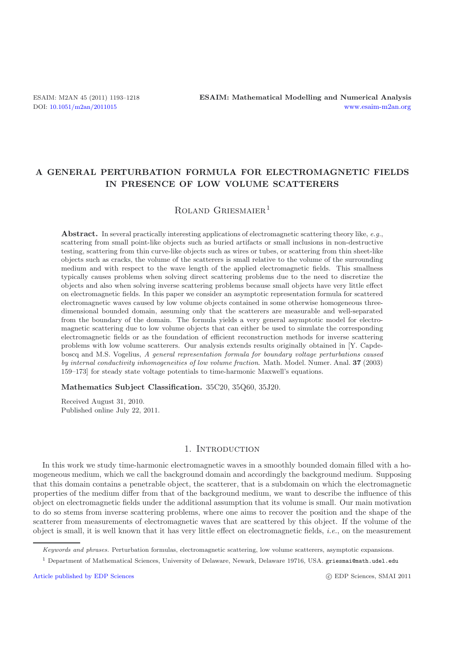# **A GENERAL PERTURBATION FORMULA FOR ELECTROMAGNETIC FIELDS IN PRESENCE OF LOW VOLUME SCATTERERS**

# ROLAND GRIESMAIER<sup>1</sup>

**Abstract.** In several practically interesting applications of electromagnetic scattering theory like, *e.g.*, scattering from small point-like objects such as buried artifacts or small inclusions in non-destructive testing, scattering from thin curve-like objects such as wires or tubes, or scattering from thin sheet-like objects such as cracks, the volume of the scatterers is small relative to the volume of the surrounding medium and with respect to the wave length of the applied electromagnetic fields. This smallness typically causes problems when solving direct scattering problems due to the need to discretize the objects and also when solving inverse scattering problems because small objects have very little effect on electromagnetic fields. In this paper we consider an asymptotic representation formula for scattered electromagnetic waves caused by low volume objects contained in some otherwise homogeneous threedimensional bounded domain, assuming only that the scatterers are measurable and well-separated from the boundary of the domain. The formula yields a very general asymptotic model for electromagnetic scattering due to low volume objects that can either be used to simulate the corresponding electromagnetic fields or as the foundation of efficient reconstruction methods for inverse scattering problems with low volume scatterers. Our analysis extends results originally obtained in [Y. Capdeboscq and M.S. Vogelius, *A general representation formula for boundary voltage perturbations caused by internal conductivity inhomogeneities of low volume fraction*. Math. Model. Numer. Anal. **37** (2003) 159–173] for steady state voltage potentials to time-harmonic Maxwell's equations.

**Mathematics Subject Classification.** 35C20, 35Q60, 35J20.

Received August 31, 2010. Published online July 22, 2011.

## 1. INTRODUCTION

In this work we study time-harmonic electromagnetic waves in a smoothly bounded domain filled with a homogeneous medium, which we call the background domain and accordingly the background medium. Supposing that this domain contains a penetrable object, the scatterer, that is a subdomain on which the electromagnetic properties of the medium differ from that of the background medium, we want to describe the influence of this object on electromagnetic fields under the additional assumption that its volume is small. Our main motivation to do so stems from inverse scattering problems, where one aims to recover the position and the shape of the scatterer from measurements of electromagnetic waves that are scattered by this object. If the volume of the object is small, it is well known that it has very little effect on electromagnetic fields, *i.e.*, on the measurement

Keywords and phrases. Perturbation formulas, electromagnetic scattering, low volume scatterers, asymptotic expansions.

<sup>1</sup> Department of Mathematical Sciences, University of Delaware, Newark, Delaware 19716, USA. griesmai@math.udel.edu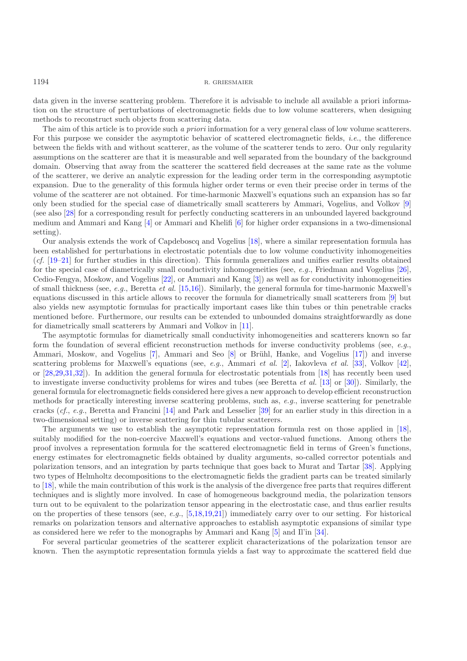data given in the inverse scattering problem. Therefore it is advisable to include all available a priori information on the structure of perturbations of electromagnetic fields due to low volume scatterers, when designing methods to reconstruct such objects from scattering data.

The aim of this article is to provide such *a priori* information for a very general class of low volume scatterers. For this purpose we consider the asymptotic behavior of scattered electromagnetic fields, *i.e.*, the difference between the fields with and without scatterer, as the volume of the scatterer tends to zero. Our only regularity assumptions on the scatterer are that it is measurable and well separated from the boundary of the background domain. Observing that away from the scatterer the scattered field decreases at the same rate as the volume of the scatterer, we derive an analytic expression for the leading order term in the corresponding asymptotic expansion. Due to the generality of this formula higher order terms or even their precise order in terms of the volume of the scatterer are not obtained. For time-harmonic Maxwell's equations such an expansion has so far only been studied for the special case of diametrically small scatterers by Ammari, Vogelius, and Volkov [\[9](#page-24-0)] (see also [\[28\]](#page-24-1) for a corresponding result for perfectly conducting scatterers in an unbounded layered background medium and Ammari and Kang [\[4\]](#page-24-2) or Ammari and Khelifi [\[6](#page-24-3)] for higher order expansions in a two-dimensional setting).

Our analysis extends the work of Capdeboscq and Vogelius [\[18\]](#page-24-4), where a similar representation formula has been established for perturbations in electrostatic potentials due to low volume conductivity inhomogeneities (*cf.* [\[19](#page-24-5)[–21](#page-24-6)] for further studies in this direction). This formula generalizes and unifies earlier results obtained for the special case of diametrically small conductivity inhomogeneities (see, *e.g.*, Friedman and Vogelius [\[26\]](#page-24-7), Cedio-Fengya, Moskow, and Vogelius [\[22](#page-24-8)], or Ammari and Kang [\[3\]](#page-23-0)) as well as for conductivity inhomogeneities of small thickness (see, *e.g.*, Beretta *et al.* [\[15](#page-24-9)[,16](#page-24-10)]). Similarly, the general formula for time-harmonic Maxwell's equations discussed in this article allows to recover the formula for diametrically small scatterers from [\[9\]](#page-24-0) but also yields new asymptotic formulas for practically important cases like thin tubes or thin penetrable cracks mentioned before. Furthermore, our results can be extended to unbounded domains straightforwardly as done for diametrically small scatterers by Ammari and Volkov in [\[11\]](#page-24-11).

The asymptotic formulas for diametrically small conductivity inhomogeneities and scatterers known so far form the foundation of several efficient reconstruction methods for inverse conductivity problems (see, *e.g.*, Ammari, Moskow, and Vogelius [\[7](#page-24-12)], Ammari and Seo [\[8\]](#page-24-13) or Brühl, Hanke, and Vogelius [\[17\]](#page-24-14)) and inverse scattering problems for Maxwell's equations (see, *e.g.*, Ammari *et al.* [\[2\]](#page-23-1), Iakovleva *et al.* [\[33\]](#page-25-0), Volkov [\[42\]](#page-25-1), or [\[28](#page-24-1)[,29](#page-24-15)[,31](#page-24-16)[,32\]](#page-24-17)). In addition the general formula for electrostatic potentials from [\[18\]](#page-24-4) has recently been used to investigate inverse conductivity problems for wires and tubes (see Beretta *et al.* [\[13\]](#page-24-18) or [\[30](#page-24-19)]). Similarly, the general formula for electromagnetic fields considered here gives a new approach to develop efficient reconstruction methods for practically interesting inverse scattering problems, such as, *e.g.*, inverse scattering for penetrable cracks (*cf.*, *e.g.*, Beretta and Francini [\[14\]](#page-24-20) and Park and Lesselier [\[39](#page-25-2)] for an earlier study in this direction in a two-dimensional setting) or inverse scattering for thin tubular scatterers.

The arguments we use to establish the asymptotic representation formula rest on those applied in [\[18\]](#page-24-4), suitably modified for the non-coercive Maxwell's equations and vector-valued functions. Among others the proof involves a representation formula for the scattered electromagnetic field in terms of Green's functions, energy estimates for electromagnetic fields obtained by duality arguments, so-called corrector potentials and polarization tensors, and an integration by parts technique that goes back to Murat and Tartar [\[38](#page-25-3)]. Applying two types of Helmholtz decompositions to the electromagnetic fields the gradient parts can be treated similarly to [\[18](#page-24-4)], while the main contribution of this work is the analysis of the divergence free parts that requires different techniques and is slightly more involved. In case of homogeneous background media, the polarization tensors turn out to be equivalent to the polarization tensor appearing in the electrostatic case, and thus earlier results on the properties of these tensors (see, *e.g.*, [\[5](#page-24-21)[,18](#page-24-4)[,19](#page-24-5)[,21](#page-24-6)]) immediately carry over to our setting. For historical remarks on polarization tensors and alternative approaches to establish asymptotic expansions of similar type as considered here we refer to the monographs by Ammari and Kang [\[5](#page-24-21)] and Il'in [\[34](#page-25-4)].

For several particular geometries of the scatterer explicit characterizations of the polarization tensor are known. Then the asymptotic representation formula yields a fast way to approximate the scattered field due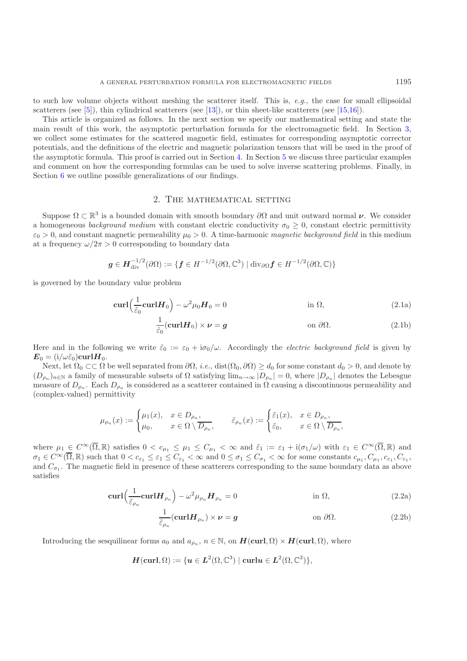to such low volume objects without meshing the scatterer itself. This is, *e.g.*, the case for small ellipsoidal scatterers (see [\[5\]](#page-24-21)), thin cylindrical scatterers (see [\[13\]](#page-24-18)), or thin sheet-like scatterers (see [\[15](#page-24-9)[,16\]](#page-24-10)).

This article is organized as follows. In the next section we specify our mathematical setting and state the main result of this work, the asymptotic perturbation formula for the electromagnetic field. In Section [3,](#page-5-0) we collect some estimates for the scattered magnetic field, estimates for corresponding asymptotic corrector potentials, and the definitions of the electric and magnetic polarization tensors that will be used in the proof of the asymptotic formula. This proof is carried out in Section [4.](#page-15-0) In Section [5](#page-21-0) we discuss three particular examples and comment on how the corresponding formulas can be used to solve inverse scattering problems. Finally, in Section [6](#page-23-2) we outline possible generalizations of our findings.

## 2. The mathematical setting

<span id="page-2-2"></span>Suppose  $\Omega \subset \mathbb{R}^3$  is a bounded domain with smooth boundary  $\partial\Omega$  and unit outward normal  $\nu$ . We consider a homogeneous *background medium* with constant electric conductivity  $\sigma_0 \geq 0$ , constant electric permittivity  $\varepsilon_0 > 0$ , and constant magnetic permeability  $\mu_0 > 0$ . A time-harmonic *magnetic background field* in this medium at a frequency  $\omega/2\pi > 0$  corresponding to boundary data

$$
\boldsymbol{g} \in \boldsymbol{H}_{\mathrm{div}}^{-1/2}(\partial \Omega) := \{ \boldsymbol{f} \in H^{-1/2}(\partial \Omega, \mathbb{C}^3) \mid \mathrm{div}_{\partial \Omega} \boldsymbol{f} \in H^{-1/2}(\partial \Omega, \mathbb{C}) \}
$$

is governed by the boundary value problem

<span id="page-2-0"></span>
$$
\operatorname{curl}\left(\frac{1}{\tilde{\varepsilon}_0}\operatorname{curl}\boldsymbol{H}_0\right) - \omega^2\mu_0\boldsymbol{H}_0 = 0 \qquad \text{in } \Omega,
$$
\n(2.1a)

$$
\frac{1}{\tilde{\varepsilon}_0}(\mathbf{curl}\mathbf{H}_0) \times \boldsymbol{\nu} = \boldsymbol{g} \qquad \text{on } \partial\Omega. \tag{2.1b}
$$

Here and in the following we write  $\tilde{\varepsilon}_0 := \varepsilon_0 + i\sigma_0/\omega$ . Accordingly the *electric background field* is given by  $\mathbf{E}_0 = (\mathrm{i}/\omega \tilde{\varepsilon}_0) \mathbf{curl} \mathbf{H}_0.$ 

Next, let  $\Omega_0 \subset\subset \Omega$  be well separated from  $\partial\Omega$ , *i.e.*, dist $(\Omega_0, \partial\Omega) \geq d_0$  for some constant  $d_0 > 0$ , and denote by  $(D_{\rho_n})_{n\in\mathbb{N}}$  a family of measurable subsets of  $\Omega$  satisfying  $\lim_{n\to\infty}|D_{\rho_n}|=0$ , where  $|D_{\rho_n}|$  denotes the Lebesgue measure of  $D_{\rho_n}$ . Each  $D_{\rho_n}$  is considered as a scatterer contained in  $\Omega$  causing a discontinuous permeability and (complex-valued) permittivity

$$
\mu_{\rho_n}(x) := \begin{cases} \mu_1(x), & x \in D_{\rho_n}, \\ \mu_0, & x \in \Omega \setminus \overline{D_{\rho_n}}, \end{cases} \qquad \tilde{\varepsilon}_{\rho_n}(x) := \begin{cases} \tilde{\varepsilon}_1(x), & x \in D_{\rho_n}, \\ \tilde{\varepsilon}_0, & x \in \Omega \setminus \overline{D_{\rho_n}}, \end{cases}
$$

<span id="page-2-1"></span>where  $\mu_1 \in C^{\infty}(\overline{\Omega}, \mathbb{R})$  satisfies  $0 < c_{\mu_1} \leq \mu_1 \leq C_{\mu_1} < \infty$  and  $\tilde{\varepsilon}_1 := \varepsilon_1 + i(\sigma_1/\omega)$  with  $\varepsilon_1 \in C^{\infty}(\overline{\Omega}, \mathbb{R})$  and  $\sigma_1 \in C^{\infty}(\overline{\Omega}, \mathbb{R})$  such that  $0 < c_{\varepsilon_1} \leq \varepsilon_1 \leq C_{\varepsilon_1} < \infty$  and  $0 \leq \sigma_1 \leq C_{\sigma_1} < \infty$  for some constants  $c_{\mu_1}, C_{\mu_1}, c_{\varepsilon_1}, C_{\varepsilon_1}$ and  $C_{\sigma_1}$ . The magnetic field in presence of these scatterers corresponding to the same boundary data as above satisfies

**curl**- 1 ε˜ρ*n* **curl***H*<sup>ρ</sup>*<sup>n</sup>* <sup>−</sup> <sup>ω</sup><sup>2</sup>μ<sup>ρ</sup>*<sup>n</sup>H*<sup>ρ</sup>*<sup>n</sup>* = 0 in Ω, (2.2a)

$$
\frac{1}{\tilde{\varepsilon}_{\rho_n}}(\operatorname{curl} \boldsymbol{H}_{\rho_n}) \times \boldsymbol{\nu} = \boldsymbol{g} \qquad \text{on } \partial \Omega. \tag{2.2b}
$$

Introducing the sesquilinear forms  $a_0$  and  $a_{\rho_n}$ ,  $n \in \mathbb{N}$ , on  $H(\text{curl}, \Omega) \times H(\text{curl}, \Omega)$ , where

$$
\boldsymbol{H}(\boldsymbol{\operatorname{curl}},\Omega):=\{\boldsymbol{u}\in \boldsymbol{L}^2(\Omega,\mathbb{C}^3)\mid \boldsymbol{\operatorname{curl}}\boldsymbol{u}\in \boldsymbol{L}^2(\Omega,\mathbb{C}^3)\},
$$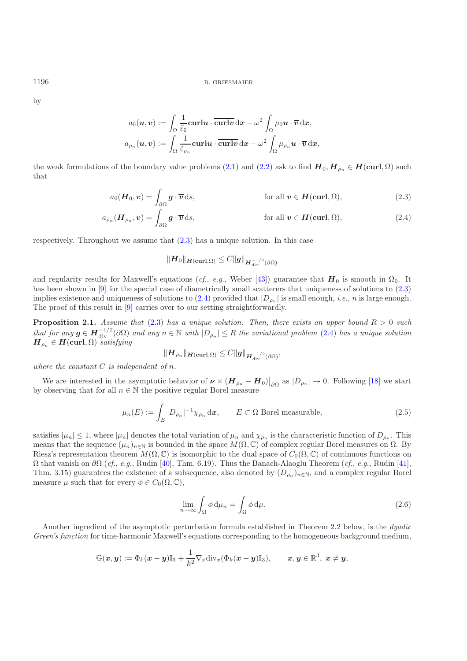by

$$
a_0(\boldsymbol{u},\boldsymbol{v}) := \int_\Omega \frac{1}{\tilde{\varepsilon}_0} \mathbf{curl}\boldsymbol{u} \cdot \overline{\mathbf{curl}\boldsymbol{v}} \, \mathrm{d}\boldsymbol{x} - \omega^2 \int_\Omega \mu_0 \boldsymbol{u} \cdot \overline{\boldsymbol{v}} \, \mathrm{d}\boldsymbol{x}, \\ a_{\rho_n}(\boldsymbol{u},\boldsymbol{v}) := \int_\Omega \frac{1}{\tilde{\varepsilon}_{\rho_n}} \mathbf{curl}\boldsymbol{u} \cdot \overline{\mathbf{curl}\boldsymbol{v}} \, \mathrm{d}\boldsymbol{x} - \omega^2 \int_\Omega \mu_{\rho_n} \boldsymbol{u} \cdot \overline{\boldsymbol{v}} \, \mathrm{d}\boldsymbol{x},
$$

the weak formulations of the boundary value problems [\(2.1\)](#page-2-0) and [\(2.2\)](#page-2-1) ask to find  $H_0, H_{\rho_n} \in H(\text{curl}, \Omega)$  such that

$$
a_0(\boldsymbol{H}_0, \boldsymbol{v}) = \int_{\partial \Omega} \boldsymbol{g} \cdot \overline{\boldsymbol{v}} \, \mathrm{d}s, \qquad \qquad \text{for all } \boldsymbol{v} \in \boldsymbol{H}(\textbf{curl}, \Omega), \qquad (2.3)
$$

$$
a_{\rho_n}(\boldsymbol{H}_{\rho_n}, \boldsymbol{v}) = \int_{\partial\Omega} \boldsymbol{g} \cdot \overline{\boldsymbol{v}} \, \mathrm{d}s, \qquad \qquad \text{for all } \boldsymbol{v} \in \boldsymbol{H}(\textbf{curl}, \Omega), \qquad (2.4)
$$

respectively. Throughout we assume that  $(2.3)$  has a unique solution. In this case

<span id="page-3-1"></span><span id="page-3-0"></span>
$$
\|\boldsymbol{H}_0\|_{\boldsymbol{H}(\boldsymbol{\operatorname{curl}},\Omega)} \leq C \|\boldsymbol{g}\|_{\boldsymbol{H}^{-1/2}_{\operatorname{div}}(\partial \Omega)}
$$

and regularity results for Maxwell's equations (*cf.*, *e.g.*, Weber [\[43\]](#page-25-5)) guarantee that  $H_0$  is smooth in  $\Omega_0$ . It has been shown in [\[9\]](#page-24-0) for the special case of diametrically small scatterers that uniqueness of solutions to  $(2.3)$ implies existence and uniqueness of solutions to  $(2.4)$  provided that  $|D_{\rho_n}|$  is small enough, *i.e.*, *n* is large enough. The proof of this result in [\[9\]](#page-24-0) carries over to our setting straightforwardly.

<span id="page-3-2"></span>**Proposition 2.1.** *Assume that* [\(2.3\)](#page-3-0) *has a unique solution. Then, there exists an upper bound*  $R > 0$  *such that for any*  $g \in H^{-1/2}_{div}(\partial \Omega)$  *and any*  $n \in \mathbb{N}$  *with*  $|D_{\rho_n}| \leq R$  *the variational problem* [\(2.4\)](#page-3-1) *has a unique solution*  $H \in H$  (curl  $\Omega$ ) *satisfying*  $\boldsymbol{H}_{\rho_n} \in \boldsymbol{H}(\mathbf{curl}, \Omega)$  *satisfying* 

$$
\|\boldsymbol{H}_{\rho_n}\|_{\boldsymbol{H}(\boldsymbol{\operatorname{curl}},\Omega)} \leq C \|\boldsymbol{g}\|_{\boldsymbol{H}_{\operatorname{div}}^{-1/2}(\partial\Omega)},
$$

*where the constant* C *is independent of* n*.*

We are interested in the asymptotic behavior of  $\nu \times (H_{\rho_n} - H_0)|_{\partial\Omega}$  as  $|D_{\rho_n}| \to 0$ . Following [\[18](#page-24-4)] we start observing that for all  $n \in \mathbb{N}$  the positive regular Borel measure by observing that for all  $n \in \mathbb{N}$  the positive regular Borel measure

$$
\mu_n(E) := \int_E |D_{\rho_n}|^{-1} \chi_{\rho_n} \, \mathrm{d}\mathbf{x}, \qquad E \subset \Omega \text{ Borel measurable}, \tag{2.5}
$$

<span id="page-3-4"></span>satisfies  $|\mu_n| \leq 1$ , where  $|\mu_n|$  denotes the total variation of  $\mu_n$  and  $\chi_{\rho_n}$  is the characteristic function of  $D_{\rho_n}$ . This means that the sequence  $(\mu_n)_{n\in\mathbb{N}}$  is bounded in the space  $M(\Omega,\mathbb{C})$  of complex regular Borel measures on  $\Omega$ . By Riesz's representation theorem  $M(\Omega, \mathbb{C})$  is isomorphic to the dual space of  $C_0(\Omega, \mathbb{C})$  of continuous functions on Ω that vanish on ∂Ω (*cf.*, *e.g.*, Rudin [\[40](#page-25-6)], Thm. 6.19). Thus the Banach-Alaoglu Theorem (*cf.*, *e.g.*, Rudin [\[41\]](#page-25-7), Thm. 3.15) guarantees the existence of a subsequence, also denoted by  $(D_{\rho_n})_{n\in\mathbb{N}}$ , and a complex regular Borel measure  $\mu$  such that for every  $\phi \in C_0(\Omega, \mathbb{C}),$ 

$$
\lim_{n \to \infty} \int_{\Omega} \phi \, \mathrm{d}\mu_n = \int_{\Omega} \phi \, \mathrm{d}\mu. \tag{2.6}
$$

Another ingredient of the asymptotic perturbation formula established in Theorem [2.2](#page-4-0) below, is the *dyadic Green's function* for time-harmonic Maxwell's equations corresponding to the homogeneous background medium,

<span id="page-3-3"></span>
$$
\mathbb{G}(\boldsymbol{x},\boldsymbol{y}):=\Phi_k(\boldsymbol{x}-\boldsymbol{y})\mathbb{I}_3+\frac{1}{k^2}\nabla_x\mathrm{div}_x(\Phi_k(\boldsymbol{x}-\boldsymbol{y})\mathbb{I}_3),\qquad \boldsymbol{x},\boldsymbol{y}\in\mathbb{R}^3,\ \boldsymbol{x}\neq\boldsymbol{y},
$$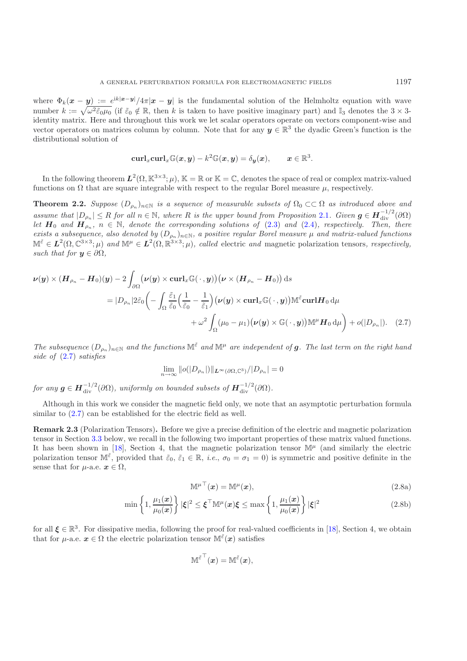where  $\Phi_k(x - y) := e^{ik|x-y|}/4\pi |x-y|$  is the fundamental solution of the Helmholtz equation with wave number  $k := \sqrt{\omega^2 \tilde{\varepsilon}_0 \mu_0}$  (if  $\tilde{\varepsilon}_0 \notin \mathbb{R}$ , then k is taken to have positive imaginary part) and  $\mathbb{I}_3$  denotes the  $3 \times 3$ identity matrix. Here and throughout this work we let scalar operators operate on vectors component-wise and vector operators on matrices column by column. Note that for any  $y \in \mathbb{R}^3$  the dyadic Green's function is the distributional solution of

$$
\mathrm{curl}_x \mathrm{curl}_x \mathbb{G}(x,y) - k^2 \mathbb{G}(x,y) = \delta_{\boldsymbol{y}}(x), \qquad x \in \mathbb{R}^3.
$$

<span id="page-4-0"></span>In the following theorem  $L^2(\Omega, \mathbb{K}^{3\times 3}; \mu)$ ,  $\mathbb{K} = \mathbb{R}$  or  $\mathbb{K} = \mathbb{C}$ , denotes the space of real or complex matrix-valued functions on  $\Omega$  that are square integrable with respect to the regular Borel measure  $\mu$ , respectively.

**Theorem 2.2.** *Suppose*  $(D_{\rho_n})_{n\in\mathbb{N}}$  *is a sequence of measurable subsets of*  $\Omega_0 \subset\subset \Omega$  *as introduced above and assume that*  $|D_{\rho_n}| \leq R$  *for all*  $n \in \mathbb{N}$ , where  $R$  *is the upper bound from Proposition* [2.1](#page-3-2)*. Given*  $g \in H_{div}^{-1/2}(\partial\Omega)$ <br>Let  $H_0$  and  $H$   $n \in \mathbb{N}$  denote the corresponding solutions of (2.3) and (2.4) respe *let*  $H_0$  *and*  $H_{\rho_n}$ ,  $n \in \mathbb{N}$ , denote the corresponding solutions of [\(2.3\)](#page-3-0) and [\(2.4\)](#page-3-1), respectively. Then, there exists a subsequence also denoted by  $(D_1)$   $\rightarrow$  a mositive regular Borel measure u and matrix-valu *exists a subsequence, also denoted by*  $(D_{\rho_n})_{n\in\mathbb{N}}$ , a positive regular Borel measure  $\mu$  and matrix-valued functions  $\mathbb{M}^{\tilde{\varepsilon}} \in L^2(\Omega, \mathbb{C}^{3 \times 3}; \mu)$  and  $\mathbb{M}^{\mu} \in L^2(\Omega, \mathbb{R}^{3 \times 3}; \mu)$ , called electric and magnetic polarization tensors, respectively, *such that for*  $y \in \partial \Omega$ *,* 

$$
\nu(y) \times (H_{\rho_n} - H_0)(y) - 2 \int_{\partial \Omega} (\nu(y) \times \operatorname{curl}_x \mathbb{G}(\cdot, y)) (\nu \times (H_{\rho_n} - H_0)) ds
$$
  
\n
$$
= |D_{\rho_n}| 2\tilde{\varepsilon}_0 \left( - \int_{\Omega} \frac{\tilde{\varepsilon}_1}{\tilde{\varepsilon}_0} \left( \frac{1}{\tilde{\varepsilon}_0} - \frac{1}{\tilde{\varepsilon}_1} \right) (\nu(y) \times \operatorname{curl}_x \mathbb{G}(\cdot, y)) \mathbb{M}^{\tilde{\varepsilon}} \operatorname{curl} H_0 d\mu + \omega^2 \int_{\Omega} (\mu_0 - \mu_1) (\nu(y) \times \mathbb{G}(\cdot, y)) \mathbb{M}^{\mu} H_0 d\mu \right) + o(|D_{\rho_n}|). \quad (2.7)
$$

*The subsequence*  $(D_{\rho_n})_{n\in\mathbb{N}}$  *and the functions*  $\mathbb{M}^{\tilde{\varepsilon}}$  *and*  $\mathbb{M}^{\mu}$  *are independent of g. The last term on the right hand side of* [\(2.7\)](#page-4-1) *satisfies*

<span id="page-4-1"></span>
$$
\lim_{n\to\infty} ||o(|D_{\rho_n}|)||_{L^{\infty}(\partial\Omega,\mathbb{C}^3)}/|D_{\rho_n}|=0
$$

 $for any \mathbf{g} \in \mathbf{H}_{div}^{-1/2}(\partial \Omega)$ , uniformly on bounded subsets of  $\mathbf{H}_{div}^{-1/2}(\partial \Omega)$ .

Although in this work we consider the magnetic field only, we note that an asymptotic perturbation formula similar to  $(2.7)$  can be established for the electric field as well.

**Remark 2.3** (Polarization Tensors)**.** Before we give a precise definition of the electric and magnetic polarization tensor in Section [3.3](#page-11-0) below, we recall in the following two important properties of these matrix valued functions. It has been shown in [\[18\]](#page-24-4), Section 4, that the magnetic polarization tensor  $\mathbb{M}^{\mu}$  (and similarly the electric polarization tensor  $\mathbb{M}^{\tilde{\varepsilon}}$ , provided that  $\tilde{\varepsilon}_0, \tilde{\varepsilon}_1 \in \mathbb{R}$ , *i.e.*,  $\sigma_0 = \sigma_1 = 0$ ) is symmetric and positive definite in the sense that for  $\mu$ -a.e.  $\mathbf{x} \in \Omega$ ,

<span id="page-4-3"></span><span id="page-4-2"></span>
$$
\mathbb{M}^{\mu \top}(\boldsymbol{x}) = \mathbb{M}^{\mu}(\boldsymbol{x}),\tag{2.8a}
$$

$$
\min\left\{1,\frac{\mu_1(x)}{\mu_0(x)}\right\}|\xi|^2 \le \xi^\top \mathbb{M}^\mu(x)\xi \le \max\left\{1,\frac{\mu_1(x)}{\mu_0(x)}\right\}|\xi|^2\tag{2.8b}
$$

for all  $\boldsymbol{\xi} \in \mathbb{R}^3$ . For dissipative media, following the proof for real-valued coefficients in [\[18](#page-24-4)], Section 4, we obtain that for *u*-a.e.  $x \in \Omega$  the electric polarization tensor  $\mathbb{M}^{\tilde{\varepsilon}}(x)$  satisfies

$$
\mathbb{M}^{\tilde{\varepsilon}^\top}(\boldsymbol{x}) = \mathbb{M}^{\tilde{\varepsilon}}(\boldsymbol{x}),
$$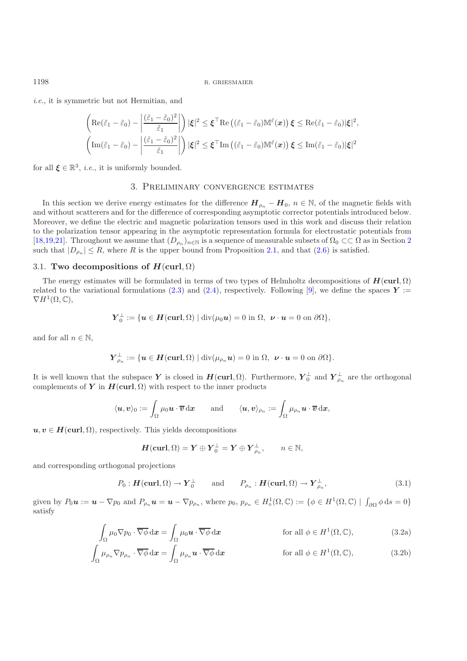*i.e.*, it is symmetric but not Hermitian, and

$$
\left(\operatorname{Re}(\tilde{\varepsilon}_1-\tilde{\varepsilon}_0)-\left|\frac{(\tilde{\varepsilon}_1-\tilde{\varepsilon}_0)^2}{\tilde{\varepsilon}_1}\right|\right)|\xi|^2\leq \xi^\top \operatorname{Re}\left((\tilde{\varepsilon}_1-\tilde{\varepsilon}_0)\mathbb{M}^{\tilde{\varepsilon}}(\boldsymbol{x})\right)\xi\leq \operatorname{Re}(\tilde{\varepsilon}_1-\tilde{\varepsilon}_0)|\xi|^2,\\ \left(\operatorname{Im}(\tilde{\varepsilon}_1-\tilde{\varepsilon}_0)-\left|\frac{(\tilde{\varepsilon}_1-\tilde{\varepsilon}_0)^2}{\tilde{\varepsilon}_1}\right|\right)|\xi|^2\leq \xi^\top \operatorname{Im}\left((\tilde{\varepsilon}_1-\tilde{\varepsilon}_0)\mathbb{M}^{\tilde{\varepsilon}}(\boldsymbol{x})\right)\xi\leq \operatorname{Im}(\tilde{\varepsilon}_1-\tilde{\varepsilon}_0)|\xi|^2
$$

<span id="page-5-0"></span>for all  $\xi \in \mathbb{R}^3$ , *i.e.*, it is uniformly bounded.

## 3. Preliminary convergence estimates

In this section we derive energy estimates for the difference  $H_{\rho_n} - H_0$ ,  $n \in \mathbb{N}$ , of the magnetic fields with and without scatterers and for the difference of corresponding asymptotic corrector potentials introduced below. Moreover, we define the electric and magnetic polarization tensors used in this work and discuss their relation to the polarization tensor appearing in the asymptotic representation formula for electrostatic potentials from [\[18](#page-24-4)[,19](#page-24-5)[,21](#page-24-6)]. Throughout we assume that  $(D_{\rho_n})_{n\in\mathbb{N}}$  is a sequence of measurable subsets of  $\Omega_0 \subset\subset \Omega$  as in Section [2](#page-2-2) such that  $|D_{\rho_n}| \leq R$ , where R is the upper bound from Proposition [2.1,](#page-3-2) and that [\(2.6\)](#page-3-3) is satisfied.

## 3.1. **Two decompositions of**  $H$ **(curl**,  $\Omega$ )

The energy estimates will be formulated in terms of two types of Helmholtz decompositions of  $H(\text{curl}, \Omega)$ related to the variational formulations [\(2.3\)](#page-3-0) and [\(2.4\)](#page-3-1), respectively. Following [\[9\]](#page-24-0), we define the spaces  $Y :=$  $\nabla H^1(\Omega,\mathbb{C}),$ 

$$
\boldsymbol{Y}_{0}^{\perp}:=\{\boldsymbol{u}\in\boldsymbol{H}(\boldsymbol{\mathrm{curl}},\Omega)\mid\operatorname{div}(\mu_{0}\boldsymbol{u})=0\text{ in }\Omega,\ \boldsymbol{\nu}\cdot\boldsymbol{u}=0\text{ on }\partial\Omega\},
$$

and for all  $n \in \mathbb{N}$ ,

$$
\boldsymbol{Y}_{\rho_n}^{\perp}:=\{\boldsymbol{u}\in\boldsymbol{H}(\boldsymbol{\mathrm{curl}},\Omega)\mid\operatorname{div}(\mu_{\rho_n}\boldsymbol{u})=0\ \text{in}\ \Omega,\ \boldsymbol{\nu}\cdot\boldsymbol{u}=0\ \text{on}\ \partial\Omega\}.
$$

It is well known that the subspace *Y* is closed in  $H(\text{curl}, \Omega)$ . Furthermore,  $Y_0^{\perp}$  and  $Y_{\rho_n}^{\perp}$  are the orthogonal complements of *Y* in  $H(\text{curl } \Omega)$  with respect to the inner products complements of *Y* in  $H(\text{curl}, \Omega)$  with respect to the inner products

$$
\langle \boldsymbol{u}, \boldsymbol{v} \rangle_0 := \int_\Omega \mu_0 \boldsymbol{u} \cdot \overline{\boldsymbol{v}} \, \mathrm{d} \boldsymbol{x} \qquad \text{and} \qquad \langle \boldsymbol{u}, \boldsymbol{v} \rangle_{\rho_n} := \int_\Omega \mu_{\rho_n} \boldsymbol{u} \cdot \overline{\boldsymbol{v}} \, \mathrm{d} \boldsymbol{x},
$$

 $u, v \in H(\text{curl}, \Omega)$ , respectively. This yields decompositions

$$
H(\operatorname{curl},\Omega)=Y\oplus Y_0^{\perp}=Y\oplus Y_{\rho_n}^{\perp},\qquad n\in\mathbb{N},
$$

and corresponding orthogonal projections

$$
P_0: \mathbf{H}(\mathbf{curl}, \Omega) \to \mathbf{Y}_0^{\perp}
$$
 and  $P_{\rho_n}: \mathbf{H}(\mathbf{curl}, \Omega) \to \mathbf{Y}_{\rho_n}^{\perp},$  (3.1)

<span id="page-5-2"></span><span id="page-5-1"></span>given by  $P_0 u := u - \nabla p_0$  and  $P_{\rho_n} u = u - \nabla p_{\rho_n}$ , where  $p_0, p_{\rho_n} \in H^1_{\diamond}(\Omega, \mathbb{C}) := \{ \phi \in H^1(\Omega, \mathbb{C}) \mid \int_{\partial \Omega} \phi \, ds = 0 \}$ satisfy

$$
\int_{\Omega} \mu_0 \nabla p_0 \cdot \overline{\nabla \phi} \, \mathrm{d} \boldsymbol{x} = \int_{\Omega} \mu_0 \boldsymbol{u} \cdot \overline{\nabla \phi} \, \mathrm{d} \boldsymbol{x} \qquad \text{for all } \phi \in H^1(\Omega, \mathbb{C}), \tag{3.2a}
$$

$$
\int_{\Omega} \mu_{\rho_n} \nabla p_{\rho_n} \cdot \overline{\nabla \phi} \, \mathrm{d} \boldsymbol{x} = \int_{\Omega} \mu_{\rho_n} \boldsymbol{u} \cdot \overline{\nabla \phi} \, \mathrm{d} \boldsymbol{x} \qquad \text{for all } \phi \in H^1(\Omega, \mathbb{C}), \qquad (3.2b)
$$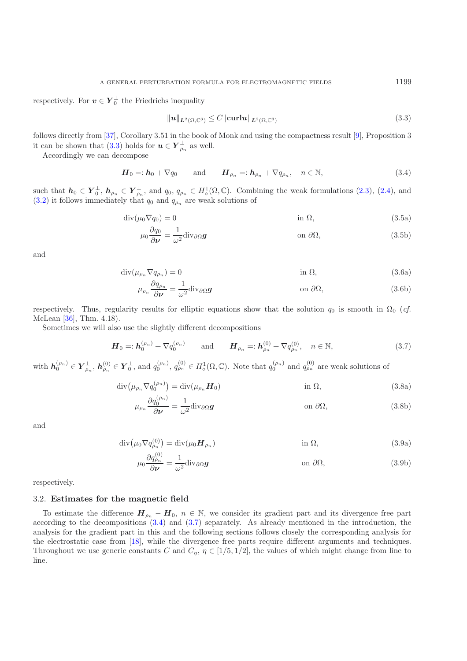respectively. For  $v \in Y_0^{\perp}$  the Friedrichs inequality

$$
\|\boldsymbol{u}\|_{\boldsymbol{L}^2(\Omega,\mathbb{C}^3)} \le C \|\boldsymbol{\operatorname{curl}} \boldsymbol{u}\|_{\boldsymbol{L}^2(\Omega,\mathbb{C}^3)}\tag{3.3}
$$

follows directly from [\[37](#page-25-8)], Corollary 3.51 in the book of Monk and using the compactness result [\[9\]](#page-24-0), Proposition 3 it can be shown that [\(3.3\)](#page-6-0) holds for  $u \in Y_{\rho_n}^{\perp}$  as well.<br>Accordingly we can decompose

<span id="page-6-1"></span>Accordingly we can decompose

<span id="page-6-0"></span>
$$
\boldsymbol{H}_0 =: \boldsymbol{h}_0 + \nabla q_0 \quad \text{and} \quad \boldsymbol{H}_{\rho_n} =: \boldsymbol{h}_{\rho_n} + \nabla q_{\rho_n}, \quad n \in \mathbb{N}, \tag{3.4}
$$

such that  $h_0 \in Y_0^{\perp}$ ,  $h_{\rho_n} \in Y_{\rho_n}^{\perp}$ , and  $q_0, q_{\rho_n} \in H_0^1(\Omega, \mathbb{C})$ . Combining the weak formulations [\(2.3\)](#page-3-0), [\(2.4\)](#page-3-1), and (3.3), it follows immodiately that  $q_n$  and  $q_n$  are work solutions of  $(3.2)$  it follows immediately that  $q_0$  and  $q_{\rho_n}$  are weak solutions of

$$
\operatorname{div}(\mu_0 \nabla q_0) = 0 \qquad \qquad \text{in } \Omega,\tag{3.5a}
$$

<span id="page-6-3"></span>
$$
\mu_0 \frac{\partial q_0}{\partial \nu} = \frac{1}{\omega^2} \text{div}_{\partial \Omega} g \qquad \text{on } \partial \Omega,
$$
\n(3.5b)

<span id="page-6-4"></span>and

$$
\operatorname{div}(\mu_{\rho_n} \nabla q_{\rho_n}) = 0 \qquad \qquad \text{in } \Omega,\tag{3.6a}
$$

$$
\mu_{\rho_n} \frac{\partial q_{\rho_n}}{\partial \nu} = \frac{1}{\omega^2} \text{div}_{\partial \Omega} \mathbf{g} \qquad \text{on } \partial \Omega,
$$
\n(3.6b)

respectively. Thus, regularity results for elliptic equations show that the solution  $q_0$  is smooth in  $\Omega_0$  (*cf.* McLean [\[36\]](#page-25-9), Thm. 4.18).

<span id="page-6-2"></span>Sometimes we will also use the slightly different decompositions

$$
\boldsymbol{H}_0 =: \boldsymbol{h}_0^{(\rho_n)} + \nabla q_0^{(\rho_n)} \quad \text{and} \quad \boldsymbol{H}_{\rho_n} =: \boldsymbol{h}_{\rho_n}^{(0)} + \nabla q_{\rho_n}^{(0)}, \quad n \in \mathbb{N}, \tag{3.7}
$$

with  $h_0^{(\rho_n)} \in Y_{\rho_n}^{\perp}$ ,  $h_{\rho_n}^{(0)} \in Y_0^{\perp}$ , and  $q_0^{(\rho_n)}$ ,  $q_{\rho_n}^{(0)} \in H_{\diamond}^1(\Omega, \mathbb{C})$ . Note that  $q_0^{(\rho_n)}$  and  $q_{\rho_n}^{(0)}$  are weak solutions of

$$
\operatorname{div}\left(\mu_{\rho_n} \nabla q_0^{(\rho_n)}\right) = \operatorname{div}(\mu_{\rho_n} \boldsymbol{H}_0) \qquad \text{in } \Omega,
$$
\n(3.8a)

<span id="page-6-5"></span>
$$
\mu_{\rho_n} \frac{\partial q_0^{(\rho_n)}}{\partial \nu} = \frac{1}{\omega^2} \text{div}_{\partial \Omega} \mathbf{g} \qquad \text{on } \partial \Omega,
$$
\n(3.8b)

<span id="page-6-6"></span>and

$$
\operatorname{div}(\mu_0 \nabla q_{\rho_n}^{(0)}) = \operatorname{div}(\mu_0 \boldsymbol{H}_{\rho_n}) \qquad \text{in } \Omega,
$$
\n(3.9a)

$$
\mu_0 \frac{\partial q_{\rho_n}^{(0)}}{\partial \nu} = \frac{1}{\omega^2} \text{div}_{\partial \Omega} \mathbf{g} \qquad \text{on } \partial \Omega,
$$
\n(3.9b)

respectively.

#### 3.2. **Estimates for the magnetic field**

To estimate the difference  $H_{\rho_n} - H_0$ ,  $n \in \mathbb{N}$ , we consider its gradient part and its divergence free part according to the decompositions [\(3.4\)](#page-6-1) and [\(3.7\)](#page-6-2) separately. As already mentioned in the introduction, the analysis for the gradient part in this and the following sections follows closely the corresponding analysis for the electrostatic case from [\[18](#page-24-4)], while the divergence free parts require different arguments and techniques. Throughout we use generic constants C and  $C_{\eta}$ ,  $\eta \in [1/5, 1/2]$ , the values of which might change from line to line.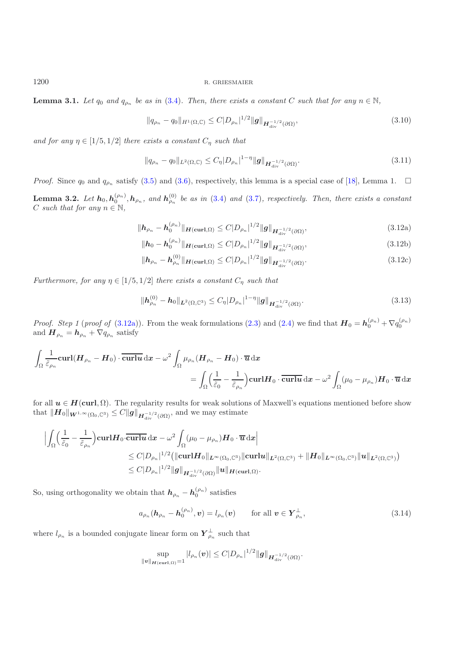**Lemma 3.1.** *Let*  $q_0$  *and*  $q_{\rho_n}$  *be as in* [\(3.4\)](#page-6-1)*. Then, there exists a constant* C *such that for any*  $n \in \mathbb{N}$ *,* 

<span id="page-7-4"></span>
$$
||q_{\rho_n} - q_0||_{H^1(\Omega, \mathbb{C})} \le C|D_{\rho_n}|^{1/2} ||g||_{H^{-1/2}_{\text{div}}(\partial \Omega)},
$$
\n(3.10)

*and for any*  $\eta \in [1/5, 1/2]$  *there exists a constant*  $C_{\eta}$  *such that* 

$$
||q_{\rho_n} - q_0||_{L^2(\Omega, \mathbb{C})} \le C_{\eta} |D_{\rho_n}|^{1 - \eta} ||g||_{H_{\text{div}}^{-1/2}(\partial \Omega)}.
$$
\n(3.11)

*Proof.* Since  $q_0$  and  $q_{\rho_n}$  satisfy [\(3.5\)](#page-6-3) and [\(3.6\)](#page-6-4), respectively, this lemma is a special case of [\[18\]](#page-24-4), Lemma 1.  $\Box$ 

<span id="page-7-6"></span>**Lemma 3.2.** *Let*  $h_0, h_0^{(\rho_n)}, h_{\rho_n}$ , and  $h_{\rho_n}^{(0)}$  be as in [\(3.4\)](#page-6-1) and [\(3.7\)](#page-6-2), respectively. Then, there exists a constant C such that for any  $n \in \mathbb{N}$ ,

$$
\|\mathbf{h}_{\rho_n} - \mathbf{h}_0^{(\rho_n)}\|_{\mathbf{H}(\mathbf{curl},\Omega)} \le C|D_{\rho_n}|^{1/2} \|\mathbf{g}\|_{\mathbf{H}_{\mathrm{div}}^{-1/2}(\partial\Omega)},\tag{3.12a}
$$

<span id="page-7-2"></span><span id="page-7-0"></span>
$$
\|\mathbf{h}_0 - \mathbf{h}_0^{(\rho_n)}\|_{\mathbf{H}(\text{curl},\Omega)} \le C|D_{\rho_n}|^{1/2} \|\mathbf{g}\|_{\mathbf{H}_{\text{div}}^{-1/2}(\partial\Omega)},
$$
\n(3.12b)

<span id="page-7-5"></span>
$$
\|\mathbf{h}_{\rho_n} - \mathbf{h}_{\rho_n}^{(0)}\|_{\mathbf{H}(\mathbf{curl},\Omega)} \le C|D_{\rho_n}|^{1/2} \|\mathbf{g}\|_{\mathbf{H}_{\mathrm{div}}^{-1/2}(\partial\Omega)}.
$$
\n(3.12c)

<span id="page-7-3"></span>*Furthermore, for any*  $\eta \in [1/5, 1/2]$  *there exists a constant*  $C_{\eta}$  *such that* 

$$
\|\boldsymbol{h}_{\rho_n}^{(0)} - \boldsymbol{h}_0\|_{\boldsymbol{L}^2(\Omega,\mathbb{C}^3)} \le C_\eta |D_{\rho_n}|^{1-\eta} \|\boldsymbol{g}\|_{\boldsymbol{H}_{\mathrm{div}}^{-1/2}(\partial\Omega)}.
$$
\n(3.13)

*Proof. Step 1* (*proof of* [\(3.12a\)](#page-7-0)). From the weak formulations [\(2.3\)](#page-3-0) and [\(2.4\)](#page-3-1) we find that  $H_0 = h_0^{(\rho_n)} + \nabla q_0^{(\rho_n)}$ and  $\boldsymbol{H}_{\rho_n} = \boldsymbol{h}_{\rho_n} + \nabla q_{\rho_n}$  satisfy

$$
\int_{\Omega} \frac{1}{\tilde{\varepsilon}_{\rho_n}} \mathbf{curl} (\boldsymbol{H}_{\rho_n} - \boldsymbol{H}_0) \cdot \overline{\mathbf{curl}} \boldsymbol{u} \, \mathrm{d} \boldsymbol{x} - \omega^2 \int_{\Omega} \mu_{\rho_n} (\boldsymbol{H}_{\rho_n} - \boldsymbol{H}_0) \cdot \overline{\boldsymbol{u}} \, \mathrm{d} \boldsymbol{x} \n= \int_{\Omega} \left( \frac{1}{\tilde{\varepsilon}_0} - \frac{1}{\tilde{\varepsilon}_{\rho_n}} \right) \mathbf{curl} \boldsymbol{H}_0 \cdot \overline{\mathbf{curl}} \boldsymbol{u} \, \mathrm{d} \boldsymbol{x} - \omega^2 \int_{\Omega} (\mu_0 - \mu_{\rho_n}) \boldsymbol{H}_0 \cdot \overline{\boldsymbol{u}} \, \mathrm{d} \boldsymbol{x}
$$

for all  $u \in H(\text{curl}, \Omega)$ . The regularity results for weak solutions of Maxwell's equations mentioned before show that  $||H_0||_{W^{1,\infty}(\Omega_0,\mathbb{C}^3)} \leq C||g||_{H^{-1/2}_{\text{div}}(\partial\Omega)},$  and we may estimate

$$
\begin{aligned}\n&\left|\int_{\Omega}\left(\frac{1}{\tilde{\varepsilon}_{0}}-\frac{1}{\tilde{\varepsilon}_{\rho_{n}}}\right)\operatorname{\mathbf{curl}}\boldsymbol{H}_{0}\cdot\overline{\operatorname{\mathbf{curl}}\boldsymbol{u}}\operatorname{d}\boldsymbol{x}-\omega^{2}\int_{\Omega}(\mu_{0}-\mu_{\rho_{n}})\boldsymbol{H}_{0}\cdot\overline{\boldsymbol{u}}\operatorname{d}\boldsymbol{x}\right| \\
&\leq C|D_{\rho_{n}}|^{1/2}\big(\|\operatorname{\mathbf{curl}}\boldsymbol{H}_{0}\|_{\boldsymbol{L}^{\infty}(\Omega_{0},\mathbb{C}^{3})}\|\operatorname{\mathbf{curl}}\boldsymbol{u}\|_{\boldsymbol{L}^{2}(\Omega,\mathbb{C}^{3})}+\|\boldsymbol{H}_{0}\|_{\boldsymbol{L}^{\infty}(\Omega_{0},\mathbb{C}^{3})}\|u\|_{\boldsymbol{L}^{2}(\Omega,\mathbb{C}^{3})}\big) \\
&\leq C|D_{\rho_{n}}|^{1/2}\|\boldsymbol{g}\|_{\boldsymbol{H}_{\operatorname{div}}^{-1/2}(\partial\Omega)}\|\boldsymbol{u}\|_{\boldsymbol{H}(\operatorname{\mathbf{curl}},\Omega)}.\n\end{aligned}
$$

So, using orthogonality we obtain that  $h_{\rho_n} - h_0^{(\rho_n)}$  satisfies

$$
a_{\rho_n}(\boldsymbol{h}_{\rho_n}-\boldsymbol{h}_0^{(\rho_n)},\boldsymbol{v})=l_{\rho_n}(\boldsymbol{v})\qquad\text{for all }\boldsymbol{v}\in\boldsymbol{Y}_{\rho_n}^{\perp},\qquad(3.14)
$$

<span id="page-7-1"></span>where  $l_{\rho_n}$  is a bounded conjugate linear form on  $\mathbf{Y}_{\rho_n}^{\perp}$  such that

$$
\sup_{\|\mathbf{v}\|_{\mathbf{H}(\text{curl},\Omega)}=1} |l_{\rho_n}(\mathbf{v})| \leq C|D_{\rho_n}|^{1/2} \|\mathbf{g}\|_{\mathbf{H}_{\text{div}}^{-1/2}(\partial\Omega)}.
$$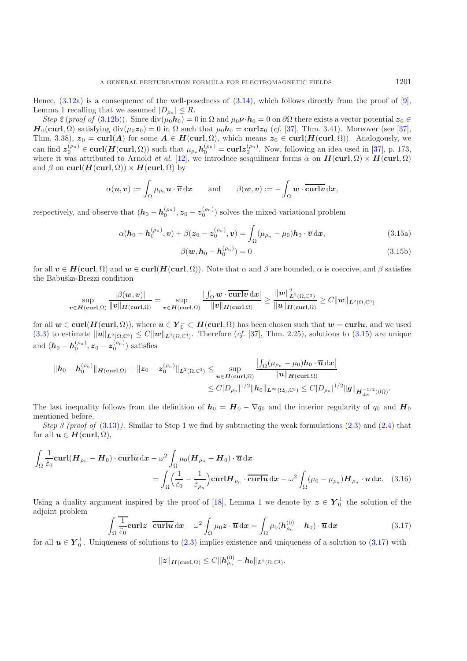Hence,  $(3.12a)$  is a consequence of the well-posedness of  $(3.14)$ , which follows directly from the proof of [\[9\]](#page-24-0), Lemma 1 recalling that we assumed  $|D_{\rho_n}| \leq R$ .

*Step 2* (*proof of* [\(3.12b\)](#page-7-2)). Since  $\text{div}(\mu_0 \mathbf{h}_0) = 0$  in  $\Omega$  and  $\mu_0 \mathbf{v} \cdot \mathbf{h}_0 = 0$  on  $\partial \Omega$  there exists a vector potential  $z_0 \in \Omega$  $H_0(\text{curl}, \Omega)$  satisfying div $(\mu_0 z_0) = 0$  in  $\Omega$  such that  $\mu_0 h_0 = \text{curl} z_0$  (*cf.* [\[37](#page-25-8)], Thm. 3.41). Moreover (see [\[37\]](#page-25-8), Thm. 3.38),  $z_0 = \text{curl}(A)$  for some  $A \in H(\text{curl}, \Omega)$ , which means  $z_0 \in \text{curl}(H(\text{curl}, \Omega))$ . Analogously, we<br>can find  $x^{(\rho_n)}_{\text{cut}} \in \text{curl}(H(\text{curl}, \Omega))$  and  $y^{(\rho_n)}_{\text{cut}}$ . More following an idea and in [27], a 173 can find  $z_0^{(\rho_n)} \in \text{curl}(H(\text{curl}, \Omega))$  such that  $\mu_{\rho_n} h_0^{(\rho_n)} = \text{curl} z_0^{(\rho_n)}$ . Now, following an idea used in [\[37\]](#page-25-8), p. 173, where it was attributed to Arnold *et al.* [12] we introduce sescuilingar forms  $\alpha$  on  $H(\text{curl } \Omega$ where it was attributed to Arnold *et al.* [\[12\]](#page-24-22), we introduce sesquilinear forms  $\alpha$  on  $H(\text{curl}, \Omega) \times H(\text{curl}, \Omega)$ <br>and  $\beta$  on  $\text{curl}(H(\text{curl}, \Omega)) \times H(\text{curl}, \Omega)$  by and  $\beta$  on **curl**( $H$ (**curl**,  $\Omega$ )) ×  $H$ (**curl**,  $\Omega$ ) by

$$
\alpha(\boldsymbol{u},\boldsymbol{v}) := \int_{\Omega} \mu_{\rho_n} \boldsymbol{u} \cdot \overline{\boldsymbol{v}} \, \mathrm{d} \boldsymbol{x} \quad \text{and} \quad \beta(\boldsymbol{w},\boldsymbol{v}) := -\int_{\Omega} \boldsymbol{w} \cdot \overline{\textbf{curl} \boldsymbol{v}} \, \mathrm{d} \boldsymbol{x},
$$

respectively, and observe that  $(h_0 - h_0^{(\rho_n)}, z_0 - z_0^{(\rho_n)})$  solves the mixed variational problem

$$
\alpha(\mathbf{h}_0 - \mathbf{h}_0^{(\rho_n)}, \mathbf{v}) + \beta(\mathbf{z}_0 - \mathbf{z}_0^{(\rho_n)}, \mathbf{v}) = \int_{\Omega} (\mu_{\rho_n} - \mu_0) \mathbf{h}_0 \cdot \overline{\mathbf{v}} \, \mathrm{d}\mathbf{x},\tag{3.15a}
$$

<span id="page-8-0"></span>
$$
\beta(\boldsymbol{w}, \boldsymbol{h}_0 - \boldsymbol{h}_0^{(\rho_n)}) = 0 \tag{3.15b}
$$

for all  $v \in H(\text{curl}, \Omega)$  and  $w \in \text{curl}(H(\text{curl}, \Omega))$ . Note that  $\alpha$  and  $\beta$  are bounded,  $\alpha$  is coercive, and  $\beta$  satisfies the Babuška-Brezzi condition

$$
\sup_{\mathbf{v}\in\mathcal{H}(\mathbf{curl},\Omega)}\frac{|\beta(\mathbf{w},\mathbf{v})|}{\|\mathbf{v}\|_{\mathcal{H}(\mathbf{curl},\Omega)}}=\sup_{\mathbf{v}\in\mathcal{H}(\mathbf{curl},\Omega)}\frac{|\int_{\Omega}\mathbf{w}\cdot\overline{\mathbf{curl}\mathbf{v}}\,\mathrm{d}\mathbf{x}|}{\|\mathbf{v}\|_{\mathcal{H}(\mathbf{curl},\Omega)}}\geq\frac{\|\mathbf{w}\|_{\mathbf{L}^{2}(\Omega,\mathbb{C}^{3})}^{2}}{\|\mathbf{u}\|_{\mathcal{H}(\mathbf{curl},\Omega)}}\geq C\|\mathbf{w}\|_{\mathbf{L}^{2}(\Omega,\mathbb{C}^{3})}
$$

for all  $w \in \text{curl}(H(\text{curl}, \Omega))$ , where  $u \in Y_0^{\perp} \subset H(\text{curl}, \Omega)$  has been chosen such that  $w = \text{curl}u$ , and we used  $(3, 3)$  to estimate  $||u||_{\text{max}} \leq C ||w||_{\text{max}}$  and  $\sum_{n=1}^{\infty} \text{Trunc}(\text{det}(H_0, \Omega))$  and  $\sum_{n=1}^{\infty} \text{det}(H_1, \Omega$ [\(3.3\)](#page-6-0) to estimate  $\|\mathbf{u}\|_{\mathbf{L}^2(\Omega,\mathbb{C}^3)} \leq C \|\mathbf{w}\|_{\mathbf{L}^2(\Omega,\mathbb{C}^3)}$ . Therefore (*cf.* [\[37](#page-25-8)], Thm. 2.25), solutions to [\(3.15\)](#page-8-0) are unique and  $(h_0 - h_0^{(\rho_n)}, z_0 - z_0^{(\rho_n)})$  satisfies

$$
\begin{aligned}\n\|h_0 - \bm{h}_0^{(\rho_n)}\|_{\bm{H}(\bm{{\rm curl}},\Omega)} + \|z_0 - z_0^{(\rho_n)}\|_{\bm{L}^2(\Omega,\mathbb{C}^3)} &\leq \sup_{\bm{u}\in \bm{H}(\bm{{\rm curl}},\Omega)} \frac{\left|\int_{\Omega} (\mu_{\rho_n} - \mu_0)\bm{h}_0\cdot \overline{\bm{u}} \, \mathrm{d} \bm{x}\right|}{\|\bm{u}\|_{\bm{H}(\bm{{\rm curl}},\Omega)}} \\
&\leq C|D_{\rho_n}|^{1/2} \|h_0\|_{\bm{L}^\infty(\Omega_0,\mathbb{C}^3)} \leq C|D_{\rho_n}|^{1/2} \|g\|_{\bm{H}_{\mathrm{div}}^{-1/2}(\partial\Omega)}.\n\end{aligned}
$$

The last inequality follows from the definition of  $h_0 = H_0 - \nabla q_0$  and the interior regularity of  $q_0$  and  $H_0$ mentioned before.

*Step 3 (proof of* [\(3.13\)](#page-7-3)*).* Similar to Step 1 we find by subtracting the weak formulations [\(2.3\)](#page-3-0) and [\(2.4\)](#page-3-1) that for all  $u \in H(\text{curl}, \Omega)$ ,

$$
\int_{\Omega} \frac{1}{\tilde{\varepsilon}_0} \operatorname{curl}(\boldsymbol{H}_{\rho_n} - \boldsymbol{H}_0) \cdot \overline{\operatorname{curl} \boldsymbol{u}} \, \mathrm{d} \boldsymbol{x} - \omega^2 \int_{\Omega} \mu_0 (\boldsymbol{H}_{\rho_n} - \boldsymbol{H}_0) \cdot \overline{\boldsymbol{u}} \, \mathrm{d} \boldsymbol{x} \n= \int_{\Omega} \left( \frac{1}{\tilde{\varepsilon}_0} - \frac{1}{\tilde{\varepsilon}_{\rho_n}} \right) \operatorname{curl} \boldsymbol{H}_{\rho_n} \cdot \overline{\operatorname{curl} \boldsymbol{u}} \, \mathrm{d} \boldsymbol{x} - \omega^2 \int_{\Omega} (\mu_0 - \mu_{\rho_n}) \boldsymbol{H}_{\rho_n} \cdot \overline{\boldsymbol{u}} \, \mathrm{d} \boldsymbol{x}.
$$
\n(3.16)

Using a duality argument inspired by the proof of [\[18\]](#page-24-4), Lemma 1 we denote by  $z \in Y_0^{\perp}$  the solution of the solution of the adjoint problem

$$
\int_{\Omega} \frac{1}{\tilde{\varepsilon}_0} \mathbf{curl} \mathbf{z} \cdot \overline{\mathbf{curl} \mathbf{u}} \, \mathrm{d}\mathbf{x} - \omega^2 \int_{\Omega} \mu_0 \mathbf{z} \cdot \overline{\mathbf{u}} \, \mathrm{d}\mathbf{x} = \int_{\Omega} \mu_0 (\mathbf{h}_{\rho_n}^{(0)} - \mathbf{h}_0) \cdot \overline{\mathbf{u}} \, \mathrm{d}\mathbf{x}
$$
\n(3.17)

<span id="page-8-1"></span>for all  $u \in Y_0^{\perp}$ . Uniqueness of solutions to [\(2.3\)](#page-3-0) implies existence and uniqueness of a solution to [\(3.17\)](#page-8-1) with

<span id="page-8-2"></span>
$$
||z||_{H(\text{curl},\Omega)} \leq C||h_{\rho_n}^{(0)} - h_0||_{L^2(\Omega,\mathbb{C}^3)}.
$$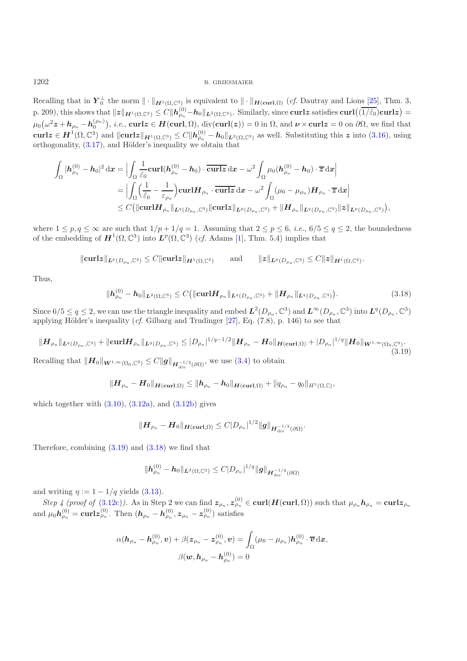Recalling that in  $Y_0^{\perp}$  the norm  $\|\cdot\|_{H^1(\Omega,\mathbb{C}^3)}$  is equivalent to  $\|\cdot\|_{H(\text{curl},\Omega)}$  (*cf.* Dautray and Lions [\[25](#page-24-23)], Thm. 3, p. 209), this shows that  $\|\mathbf{z}\|_{\mathbf{H}^1(\Omega,\mathbb{C}^3)} \leq C \|\mathbf{h}_{\rho_n}^{(0)} - \mathbf{h}_0\|_{\mathbf{L}^2(\Omega,\mathbb{C}^3)}$ . Similarly, since **curlz** satisfies  $\text{curl}((\overline{1/\tilde{\varepsilon}_0})\text{curl}\mathbf{z}) =$  $\mu_0(\omega^2 z + h_{\rho_n} - h_0^{(\rho_n)})$ , *i.e.*, **curlz** ∈ *H*(**curl**, Ω), div(**curl**(*z*)) = 0 in Ω, and  $\nu \times \text{curl}z = 0$  on ∂Ω, we find that curl $z \in H^1(\Omega, \mathbb{C}^3)$  and  $||\text{curl}z||_{H^1(\Omega, \mathbb{C}^3)} \leq C ||h_{\rho_n}^{(0)} - h_0||_{L^2(\Omega, \mathbb{C}^3)}$  as well. Substituting this  $z$  into [\(3.16\)](#page-8-2), using orthogonality, [\(3.17\)](#page-8-1), and Hölder's inequality we obtain that

$$
\int_{\Omega} |\boldsymbol{h}_{\rho_n}^{(0)} - \boldsymbol{h}_0|^2 \, \mathrm{d} \boldsymbol{x} = \Big| \int_{\Omega} \frac{1}{\tilde{\varepsilon}_0} \mathbf{curl} (\boldsymbol{h}_{\rho_n}^{(0)} - \boldsymbol{h}_0) \cdot \overline{\mathbf{curl}} \, \mathrm{d} \boldsymbol{x} - \omega^2 \int_{\Omega} \mu_0 (\boldsymbol{h}_{\rho_n}^{(0)} - \boldsymbol{h}_0) \cdot \overline{\boldsymbol{x}} \, \mathrm{d} \boldsymbol{x} \Big|
$$
\n
$$
= \Big| \int_{\Omega} \Big( \frac{1}{\tilde{\varepsilon}_0} - \frac{1}{\varepsilon_{\rho_n}} \Big) \mathbf{curl} \boldsymbol{H}_{\rho_n} \cdot \overline{\mathbf{curl}} \, \boldsymbol{x} \, \mathrm{d} \boldsymbol{x} - \omega^2 \int_{\Omega} (\mu_0 - \mu_{\rho_n}) \boldsymbol{H}_{\rho_n} \cdot \overline{\boldsymbol{x}} \, \mathrm{d} \boldsymbol{x} \Big|
$$
\n
$$
\leq C \big( \| \mathbf{curl} \boldsymbol{H}_{\rho_n} \|_{\mathbf{L}^q(D_{\rho_n}, \mathbb{C}^3)} \| \mathbf{curl} \boldsymbol{x} \|_{\boldsymbol{L}^p(D_{\rho_n}, \mathbb{C}^3)} + \| \boldsymbol{H}_{\rho_n} \|_{\mathbf{L}^q(D_{\rho_n}, \mathbb{C}^3)} \| \boldsymbol{z} \|_{\boldsymbol{L}^p(D_{\rho_n}, \mathbb{C}^3)} \big),
$$

where  $1 \leq p, q \leq \infty$  are such that  $1/p + 1/q = 1$ . Assuming that  $2 \leq p \leq 6$ , *i.e.*,  $6/5 \leq q \leq 2$ , the boundedness of the embedding of  $H^1(\Omega, \mathbb{C}^3)$  into  $L^p(\Omega, \mathbb{C}^3)$  (*cf.* Adams [\[1\]](#page-23-3), Thm. 5.4) implies that

$$
\|\mathbf{curl} \mathbf{z}\|_{\mathbf{L}^p(D_{\rho_n},\mathbb{C}^3)} \leq C \|\mathbf{curl} \mathbf{z}\|_{\mathbf{H}^1(\Omega,\mathbb{C}^3)} \quad \text{and} \quad \|z\|_{\mathbf{L}^p(D_{\rho_n},\mathbb{C}^3)} \leq C \|z\|_{\mathbf{H}^1(\Omega,\mathbb{C}^3)}.
$$

<span id="page-9-1"></span>Thus,

$$
\|\boldsymbol{h}_{\rho_n}^{(0)} - \boldsymbol{h}_0\|_{\boldsymbol{L}^2(\Omega,\mathbb{C}^3)} \le C \big( \|\mathbf{curl} \boldsymbol{H}_{\rho_n}\|_{\boldsymbol{L}^q(D_{\rho_n},\mathbb{C}^3)} + \|\boldsymbol{H}_{\rho_n}\|_{\boldsymbol{L}^q(D_{\rho_n},\mathbb{C}^3)} \big). \tag{3.18}
$$

Since  $6/5 \le q \le 2$ , we can use the triangle inequality and embed  $L^2(D_{\rho_n}, \mathbb{C}^3)$  and  $L^{\infty}(D_{\rho_n}, \mathbb{C}^3)$  into  $L^q(D_{\rho_n}, \mathbb{C}^3)$ applying Hölder's inequality  $(cf.$  Gilbarg and Trudinger  $[27]$ , Eq.  $(7.8)$ , p. 146) to see that

$$
\|H_{\rho_n}\|_{L^q(D_{\rho_n},\mathbb{C}^3)} + \|\mathrm{curl} H_{\rho_n}\|_{L^q(D_{\rho_n},\mathbb{C}^3)} \le |D_{\rho_n}|^{1/q - 1/2} \|H_{\rho_n} - H_0\|_{H(\mathrm{curl},\Omega)} + |D_{\rho_n}|^{1/q} \|H_0\|_{W^{1,\infty}(\Omega_0,\mathbb{C}^3)}.
$$
\n(3.19)

<span id="page-9-0"></span>Recalling that  $||H_0||_{W^{1,\infty}(\Omega_0,\mathbb{C}^3)} \leq C ||g||_{H^{-1/2}_{\text{div}}(\partial\Omega)},$  we use [\(3.4\)](#page-6-1) to obtain

$$
\|\mathbf{H}_{\rho_n}-\mathbf{H}_0\|_{\mathbf{H}(\mathbf{curl},\Omega)} \leq \|\mathbf{h}_{\rho_n}-\mathbf{h}_0\|_{\mathbf{H}(\mathbf{curl},\Omega)} + \|q_{\rho_n}-q_0\|_{H^1(\Omega,\mathbb{C})},
$$

which together with  $(3.10)$ ,  $(3.12a)$ , and  $(3.12b)$  gives

$$
\|\bm{H}_{\rho_n} - \bm{H}_0\|_{\bm{H}(\mathbf{curl},\Omega)} \leq C|D_{\rho_n}|^{1/2} \|\bm{g}\|_{\bm{H}_{\mathrm{div}}^{-1/2}(\partial\Omega)}.
$$

Therefore, combining  $(3.19)$  and  $(3.18)$  we find that

$$
\|\mathbf{h}_{\rho_n}^{(0)} - \mathbf{h}_0\|_{\mathbf{L}^2(\Omega,\mathbb{C}^3)} \leq C|D_{\rho_n}|^{1/q} \|\mathbf{g}\|_{\mathbf{H}_{\mathrm{div}}^{-1/2}(\partial\Omega)}
$$

and writing  $\eta := 1 - 1/q$  yields [\(3.13\)](#page-7-3).

*Step 4 (proof of* [\(3.12c\)](#page-7-5)). As in Step 2 we can find  $\mathbf{z}_{\rho_n}$ ,  $\mathbf{z}_{\rho_n}^{(0)} \in \text{curl}(\mathbf{H}(\text{curl}, \Omega))$  such that  $\mu_{\rho_n} \mathbf{h}_{\rho_n} = \text{curl} \mathbf{z}_{\rho_n}$ and  $\mu_0 h_{\rho_n}^{(0)} = \text{curl} z_{\rho_n}^{(0)}$ . Then  $(h_{\rho_n} - h_{\rho_n}^{(0)}, z_{\rho_n} - z_{\rho_n}^{(0)})$  satisfies

$$
\alpha(\boldsymbol{h}_{\rho_n}-\boldsymbol{h}^{(0)}_{\rho_n}, \boldsymbol{v})+\beta(\boldsymbol{z}_{\rho_n}-\boldsymbol{z}^{(0)}_{\rho_n}, \boldsymbol{v})=\int_{\Omega}(\mu_0-\mu_{\rho_n})\boldsymbol{h}^{(0)}_{\rho_n}\cdot \overline{\boldsymbol{v}}\,\mathrm{d}\boldsymbol{x},\\\beta(\boldsymbol{w},\boldsymbol{h}_{\rho_n}-\boldsymbol{h}^{(0)}_{\rho_n})=0
$$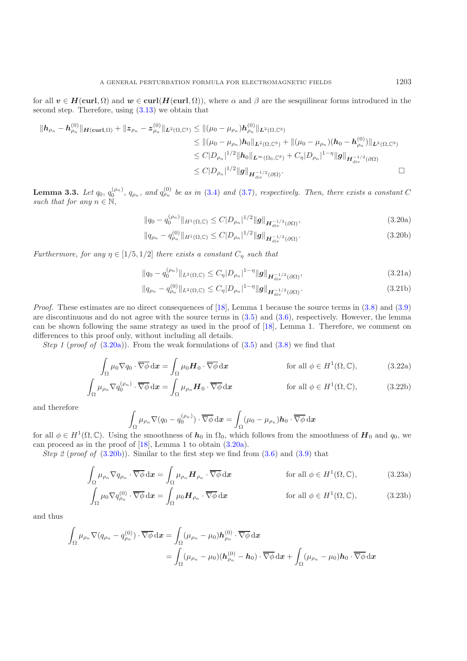for all  $v \in H(\text{curl}, \Omega)$  and  $w \in \text{curl}(H(\text{curl}, \Omega))$ , where  $\alpha$  and  $\beta$  are the sesquilinear forms introduced in the second step. Therefore, using [\(3.13\)](#page-7-3) we obtain that

$$
\begin{aligned}\n\|h_{\rho_n} - h_{\rho_n}^{(0)}\|_{\mathbf{H}(\operatorname{curl},\Omega)} + \|z_{\rho_n} - z_{\rho_n}^{(0)}\|_{L^2(\Omega,\mathbb{C}^3)} &\leq \|(\mu_0 - \mu_{\rho_n})h_{\rho_n}^{(0)}\|_{L^2(\Omega,\mathbb{C}^3)} \\
&\leq \|(\mu_0 - \mu_{\rho_n})h_0\|_{L^2(\Omega,\mathbb{C}^3)} + \|(\mu_0 - \mu_{\rho_n})(h_0 - h_{\rho_n}^{(0)})\|_{L^2(\Omega,\mathbb{C}^3)} \\
&\leq C|D_{\rho_n}|^{1/2} \|h_0\|_{L^\infty(\Omega_0,\mathbb{C}^3)} + C_{\eta}|D_{\rho_n}|^{1-\eta} \|g\|_{\mathbf{H}_{\operatorname{div}}^{-1/2}(\partial\Omega)} \\
&\leq C|D_{\rho_n}|^{1/2} \|g\|_{\mathbf{H}_{\operatorname{div}}^{-1/2}(\partial\Omega)}. \n\end{aligned}
$$

**Lemma 3.3.** Let  $q_0, q_0^{(\rho_n)}, q_{\rho_n}$ , and  $q_{\rho_n}^{(0)}$  be as in [\(3.4\)](#page-6-1) and [\(3.7\)](#page-6-2), respectively. Then, there exists a constant C *such that for any*  $n \in \mathbb{N}$ ,

<span id="page-10-0"></span> $||q_0 - q_0^{(\rho_n)}||_{H^1(\Omega,\mathbb{C})} \leq C|D_{\rho_n}|^{1/2} ||g||_{H_{\text{div}}^{-1/2}(\partial\Omega)},$  (3.20a)

<span id="page-10-1"></span>
$$
||q_{\rho_n} - q_{\rho_n}^{(0)}||_{H^1(\Omega, \mathbb{C})} \le C|D_{\rho_n}|^{1/2} ||g||_{H^{-1/2}_{\text{div}}(\partial \Omega)}.
$$
\n(3.20b)

*Furthermore, for any*  $\eta \in [1/5, 1/2]$  *there exists a constant*  $C_{\eta}$  *such that* 

 $\overline{\phantom{a}}$ 

<span id="page-10-2"></span>
$$
||q_0 - q_0^{(\rho_n)}||_{L^2(\Omega, \mathbb{C})} \le C_\eta |D_{\rho_n}|^{1-\eta} ||g||_{\mathbf{H}_{\text{div}}^{-1/2}(\partial \Omega)},
$$
\n(3.21a)

<span id="page-10-4"></span><span id="page-10-3"></span>
$$
||q_{\rho_n} - q_{\rho_n}^{(0)}||_{L^2(\Omega, \mathbb{C})} \le C_{\eta} |D_{\rho_n}|^{1-\eta} ||g||_{\mathbf{H}_{\text{div}}^{-1/2}(\partial \Omega)}.
$$
\n(3.21b)

*Proof.* These estimates are no direct consequences of [\[18\]](#page-24-4), Lemma 1 because the source terms in  $(3.8)$  and  $(3.9)$ are discontinuous and do not agree with the source terms in  $(3.5)$  and  $(3.6)$ , respectively. However, the lemma can be shown following the same strategy as used in the proof of [\[18](#page-24-4)], Lemma 1. Therefore, we comment on differences to this proof only, without including all details.

*Step 1* (*proof of* [\(3.20a\)](#page-10-0)). From the weak formulations of  $(3.5)$  and  $(3.8)$  we find that

$$
\int_{\Omega} \mu_0 \nabla q_0 \cdot \overline{\nabla \phi} \, dx = \int_{\Omega} \mu_0 H_0 \cdot \overline{\nabla \phi} \, dx \qquad \text{for all } \phi \in H^1(\Omega, \mathbb{C}), \tag{3.22a}
$$

$$
\int_{\Omega} \mu_{\rho_n} \nabla q_0^{(\rho_n)} \cdot \overline{\nabla \phi} \, \mathrm{d} \boldsymbol{x} = \int_{\Omega} \mu_{\rho_n} \boldsymbol{H}_0 \cdot \overline{\nabla \phi} \, \mathrm{d} \boldsymbol{x} \qquad \text{for all } \phi \in H^1(\Omega, \mathbb{C}), \qquad (3.22b)
$$

and therefore

<span id="page-10-5"></span>
$$
\int_{\Omega} \mu_{\rho_n} \nabla (q_0 - q_0^{(\rho_n)}) \cdot \overline{\nabla \phi} \, dx = \int_{\Omega} (\mu_0 - \mu_{\rho_n}) \mathbf{h}_0 \cdot \overline{\nabla \phi} \, dx
$$

for all  $\phi \in H^1(\Omega, \mathbb{C})$ . Using the smoothness of  $h_0$  in  $\Omega_0$ , which follows from the smoothness of  $H_0$  and  $q_0$ , we can proceed as in the proof of [\[18](#page-24-4)], Lemma 1 to obtain [\(3.20a\)](#page-10-0).

*Step 2* (*proof of* [\(3.20b\)](#page-10-1)). Similar to the first step we find from  $(3.6)$  and  $(3.9)$  that

$$
\int_{\Omega} \mu_{\rho_n} \nabla q_{\rho_n} \cdot \overline{\nabla \phi} \, dx = \int_{\Omega} \mu_{\rho_n} \mathbf{H}_{\rho_n} \cdot \overline{\nabla \phi} \, dx \qquad \text{for all } \phi \in H^1(\Omega, \mathbb{C}), \tag{3.23a}
$$
\n
$$
\int_{\Omega} \mu_{\rho} \nabla q^{(0)} \cdot \overline{\nabla \phi} \, dx = \int_{\Omega} \mu_{\rho} \mathbf{H} \cdot \overline{\nabla \phi} \, dx \qquad \text{for all } \phi \in H^1(\Omega, \mathbb{C}) \tag{3.23b}
$$

$$
\int_{\Omega} \mu_0 \nabla q_{\rho_n}^{(0)} \cdot \overline{\nabla \phi} \, \mathrm{d} \boldsymbol{x} = \int_{\Omega} \mu_0 \boldsymbol{H}_{\rho_n} \cdot \overline{\nabla \phi} \, \mathrm{d} \boldsymbol{x} \qquad \text{for all } \phi \in H^1(\Omega, \mathbb{C}), \qquad (3.23b)
$$

and thus

$$
\int_{\Omega} \mu_{\rho_n} \nabla (q_{\rho_n} - q_{\rho_n}^{(0)}) \cdot \overline{\nabla \phi} \, dx = \int_{\Omega} (\mu_{\rho_n} - \mu_0) \boldsymbol{h}_{\rho_n}^{(0)} \cdot \overline{\nabla \phi} \, dx \n= \int_{\Omega} (\mu_{\rho_n} - \mu_0) (\boldsymbol{h}_{\rho_n}^{(0)} - \boldsymbol{h}_0) \cdot \overline{\nabla \phi} \, dx + \int_{\Omega} (\mu_{\rho_n} - \mu_0) \boldsymbol{h}_0 \cdot \overline{\nabla \phi} \, dx
$$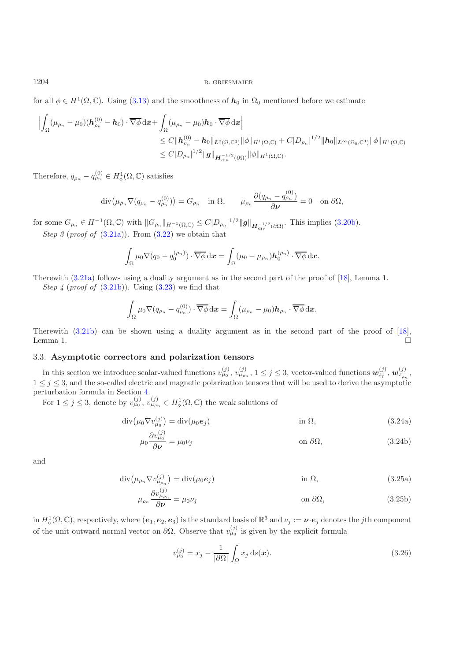for all  $\phi \in H^1(\Omega, \mathbb{C})$ . Using [\(3.13\)](#page-7-3) and the smoothness of  $h_0$  in  $\Omega_0$  mentioned before we estimate

$$
\left| \int_{\Omega} (\mu_{\rho_n} - \mu_0)(\boldsymbol{h}_{\rho_n}^{(0)} - \boldsymbol{h}_0) \cdot \overline{\nabla \phi} \, dx + \int_{\Omega} (\mu_{\rho_n} - \mu_0) \boldsymbol{h}_0 \cdot \overline{\nabla \phi} \, dx \right|
$$
  
\n
$$
\leq C \|\boldsymbol{h}_{\rho_n}^{(0)} - \boldsymbol{h}_0\|_{L^2(\Omega, \mathbb{C}^3)} \|\phi\|_{H^1(\Omega, \mathbb{C})} + C|D_{\rho_n}|^{1/2} \|\boldsymbol{h}_0\|_{L^{\infty}(\Omega_0, \mathbb{C}^3)} \|\phi\|_{H^1(\Omega, \mathbb{C})}
$$
  
\n
$$
\leq C|D_{\rho_n}|^{1/2} \|g\|_{H_{\text{div}}^{-1/2}(\partial \Omega)} \|\phi\|_{H^1(\Omega, \mathbb{C})}.
$$

Therefore,  $q_{\rho_n} - q_{\rho_n}^{(0)} \in H^1_{\diamond}(\Omega, \mathbb{C})$  satisfies

$$
\operatorname{div}(\mu_{\rho_n} \nabla (q_{\rho_n} - q_{\rho_n}^{(0)})) = G_{\rho_n} \quad \text{in } \Omega, \qquad \mu_{\rho_n} \frac{\partial (q_{\rho_n} - q_{\rho_n}^{(0)})}{\partial \nu} = 0 \quad \text{on } \partial \Omega,
$$

for some  $G_{\rho_n} \in H^{-1}(\Omega, \mathbb{C})$  with  $||G_{\rho_n}||_{H^{-1}(\Omega, \mathbb{C})} \leq C|D_{\rho_n}|^{1/2}||g||_{H^{-1/2}_{div}(\partial \Omega)}$ . This implies [\(3.20b\)](#page-10-1). *Step 3* (*proof of* [\(3.21a\)](#page-10-2))*.* From [\(3.22\)](#page-10-3) we obtain that

$$
\int_{\Omega} \mu_0 \nabla (q_0 - q_0^{(\rho_n)}) \cdot \overline{\nabla \phi} \, \mathrm{d} \boldsymbol{x} = \int_{\Omega} (\mu_0 - \mu_{\rho_n}) \boldsymbol{h}_0^{(\rho_n)} \cdot \overline{\nabla \phi} \, \mathrm{d} \boldsymbol{x}.
$$

Therewith [\(3.21a\)](#page-10-2) follows using a duality argument as in the second part of the proof of [\[18\]](#page-24-4), Lemma 1. *Step 4* (*proof of* [\(3.21b\)](#page-10-4))*.* Using [\(3.23\)](#page-10-5) we find that

$$
\int_{\Omega} \mu_0 \nabla (q_{\rho_n} - q_{\rho_n}^{(0)}) \cdot \overline{\nabla \phi} \, \mathrm{d} \boldsymbol{x} = \int_{\Omega} (\mu_{\rho_n} - \mu_0) \boldsymbol{h}_{\rho_n} \cdot \overline{\nabla \phi} \, \mathrm{d} \boldsymbol{x}.
$$

Therewith [\(3.21b\)](#page-10-4) can be shown using a duality argument as in the second part of the proof of [\[18\]](#page-24-4), Lemma 1.  $\Box$ 

## <span id="page-11-0"></span>3.3. **Asymptotic correctors and polarization tensors**

In this section we introduce scalar-valued functions  $v_{\mu_0}^{(j)}$ ,  $v_{\mu_{\rho_n}}^{(j)}$ ,  $1 \leq j \leq 3$ , vector-valued functions  $\mathbf{w}_{\tilde{\varepsilon}_0}^{(j)}$ ,  $\mathbf{w}_{\tilde{\varepsilon}_{\rho_n}}^{(j)}$ ,  $\mathbf{w}_{\tilde{\varepsilon}_{\rho_n}}^{(j)}$ ,  $\mathbf{w}_{\tilde{\varepsilon}_{\rho_n}}^{(j$  $1 \leq j \leq 3$ , and the so-called electric and magnetic polarization tensors that will be used to derive the asymptotic perturbation formula in Section [4.](#page-15-0)

For  $1 \leq j \leq 3$ , denote by  $v_{\mu_0}^{(j)}$ ,  $v_{\mu_{\rho_n}}^{(j)} \in H^1_{\phi}(\Omega, \mathbb{C})$  the weak solutions of

$$
\operatorname{div}(\mu_0 \nabla v_{\mu_0}^{(j)}) = \operatorname{div}(\mu_0 \mathbf{e}_j) \qquad \text{in } \Omega,\tag{3.24a}
$$

<span id="page-11-1"></span>
$$
\mu_0 \frac{\partial v_{\mu_0}^{(j)}}{\partial \nu} = \mu_0 \nu_j \qquad \text{on } \partial \Omega,
$$
\n(3.24b)

<span id="page-11-2"></span>and

$$
\operatorname{div}(\mu_{\rho_n} \nabla v_{\mu_{\rho_n}}^{(j)}) = \operatorname{div}(\mu_0 \mathbf{e}_j) \qquad \text{in } \Omega,
$$
\n
$$
\frac{\partial v_{\rho_n}^{(j)}}{\partial n_{\rho_n}} = \operatorname{div}(\mu_0 \mathbf{e}_j) \qquad \text{in } \Omega,
$$
\n
$$
(3.25a)
$$

$$
\mu_{\rho_n} \frac{\partial v_{\mu_{\rho_n}}^{(j)}}{\partial \nu} = \mu_0 \nu_j \qquad \text{on } \partial \Omega,
$$
\n(3.25b)

in  $H_0^1(\Omega, \mathbb{C})$ , respectively, where  $(e_1, e_2, e_3)$  is the standard basis of  $\mathbb{R}^3$  and  $\nu_j := \nu \cdot e_j$  denotes the *j*th component of the unit outward normal vector on  $\partial \Omega$ . Observe that  $v_{\mu_0}^{(j)}$  is given by the explicit formula

<span id="page-11-3"></span>
$$
v_{\mu_0}^{(j)} = x_j - \frac{1}{|\partial \Omega|} \int_{\Omega} x_j \, \mathrm{d}s(\boldsymbol{x}). \tag{3.26}
$$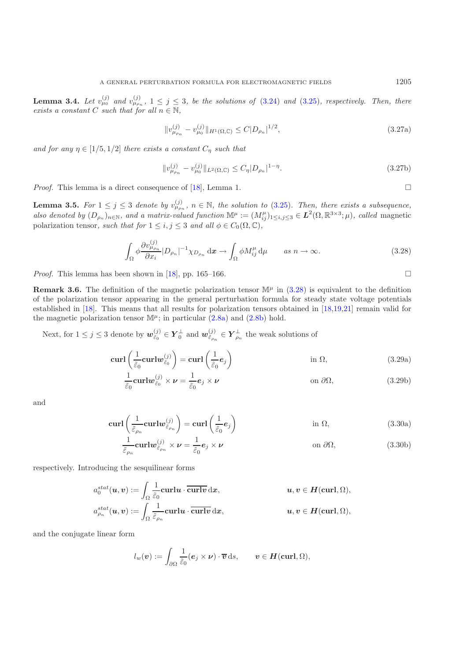**Lemma 3.4.** Let  $v_{\mu_0}^{(j)}$  and  $v_{\mu_{\rho_n}}^{(j)}$ ,  $1 \leq j \leq 3$ , be the solutions of [\(3.24\)](#page-11-1) and [\(3.25\)](#page-11-2), respectively. Then, there *exists a constant*  $C$  *such that for all*  $n \in \mathbb{N}$ *,* 

<span id="page-12-3"></span>
$$
||v_{\mu_{\rho_n}}^{(j)} - v_{\mu_0}^{(j)}||_{H^1(\Omega, \mathbb{C})} \le C|D_{\rho_n}|^{1/2},
$$
\n(3.27a)

*and for any*  $\eta \in [1/5, 1/2]$  *there exists a constant*  $C_{\eta}$  *such that* 

<span id="page-12-4"></span>
$$
||v_{\mu_{\rho_n}}^{(j)} - v_{\mu_0}^{(j)}||_{L^2(\Omega, \mathbb{C})} \le C_{\eta} |D_{\rho_n}|^{1-\eta}.
$$
\n(3.27b)

*Proof.* This lemma is a direct consequence of [\[18](#page-24-4)], Lemma 1.  $\Box$ 

**Lemma 3.5.** For  $1 \leq j \leq 3$  denote by  $v_{\mu_{\rho_n}}^{(j)}$ ,  $n \in \mathbb{N}$ , the solution to [\(3.25\)](#page-11-2). Then, there exists a subsequence, *also denoted by*  $(D_{\rho_n})_{n \in \mathbb{N}}$ *, and a matrix-valued function*  $\mathbb{M}^{\mu} := (M_{ij}^{\mu})_{1 \leq i,j \leq 3} \in L^2(\Omega,\mathbb{R}^{3\times3};\mu)$ *, called* magnetic polarization tonsor, each that for  $1 \leq i, i \leq 3$  and all  $\phi \in C_1(\Omega,\mathbb{C})$ polarization tensor, such that for  $1 \leq i, j \leq 3$  and all  $\phi \in C_0(\Omega, \mathbb{C}),$ 

$$
\int_{\Omega} \phi \frac{\partial v_{\mu_{\rho_n}}^{(j)}}{\partial x_i} |D_{\rho_n}|^{-1} \chi_{D_{\rho_n}} \, \mathrm{d}\mathbf{x} \to \int_{\Omega} \phi M_{ij}^{\mu} \, \mathrm{d}\mu \qquad \text{as } n \to \infty. \tag{3.28}
$$

<span id="page-12-0"></span>*Proof.* This lemma has been shown in  $[18]$  $[18]$ , pp. 165–166.

<span id="page-12-5"></span>**Remark 3.6.** The definition of the magnetic polarization tensor  $\mathbb{M}^{\mu}$  in [\(3.28\)](#page-12-0) is equivalent to the definition of the polarization tensor appearing in the general perturbation formula for steady state voltage potentials established in [\[18](#page-24-4)]. This means that all results for polarization tensors obtained in [\[18](#page-24-4)[,19](#page-24-5)[,21\]](#page-24-6) remain valid for the magnetic polarization tensor  $\mathbb{M}^{\mu}$ ; in particular [\(2.8a\)](#page-4-2) and [\(2.8b\)](#page-4-3) hold.

Next, for  $1 \leq j \leq 3$  denote by  $\mathbf{w}_{\tilde{\varepsilon}_0}^{(j)} \in \mathbf{Y}_0^{\perp}$  and  $\mathbf{w}_{\tilde{\varepsilon}_{\rho_n}}^{(j)} \in \mathbf{Y}_{\rho_n}^{\perp}$  the weak solutions of

$$
\operatorname{curl}\left(\frac{1}{\tilde{\varepsilon}_0}\operatorname{curl}w_{\tilde{\varepsilon}_0}^{(j)}\right) = \operatorname{curl}\left(\frac{1}{\tilde{\varepsilon}_0}e_j\right) \qquad \text{in } \Omega,\tag{3.29a}
$$

<span id="page-12-1"></span>
$$
\frac{1}{\tilde{\varepsilon}_0} \mathbf{curl} \mathbf{w}_{\tilde{\varepsilon}_0}^{(j)} \times \mathbf{\nu} = \frac{1}{\tilde{\varepsilon}_0} \mathbf{e}_j \times \mathbf{\nu} \qquad \text{on } \partial \Omega,
$$
\n(3.29b)

<span id="page-12-2"></span>and

$$
\operatorname{curl}\left(\frac{1}{\tilde{\varepsilon}_{\rho_n}}\operatorname{curl}w_{\tilde{\varepsilon}_{\rho_n}}^{(j)}\right) = \operatorname{curl}\left(\frac{1}{\tilde{\varepsilon}_0}e_j\right) \qquad \text{in } \Omega,\tag{3.30a}
$$

$$
\frac{1}{\tilde{\varepsilon}_{\rho_n}}\mathbf{curl}w_{\tilde{\varepsilon}_{\rho_n}}^{(j)}\times\nu=\frac{1}{\tilde{\varepsilon}_0}e_j\times\nu\qquad\text{on }\partial\Omega,
$$
\n(3.30b)

respectively. Introducing the sesquilinear forms

$$
a_0^{stat}(u, v) := \int_{\Omega} \frac{1}{\tilde{\varepsilon}_0} \mathbf{curl} u \cdot \overline{\mathbf{curl} v} \, \mathrm{d}x, \qquad u, v \in H(\mathbf{curl}, \Omega),
$$
  

$$
a_{\rho_n}^{stat}(u, v) := \int_{\Omega} \frac{1}{\tilde{\varepsilon}_{\rho_n}} \mathbf{curl} u \cdot \overline{\mathbf{curl} v} \, \mathrm{d}x, \qquad u, v \in H(\mathbf{curl}, \Omega),
$$

and the conjugate linear form

$$
l_w(\boldsymbol{v}) := \int_{\partial\Omega} \frac{1}{\tilde{\varepsilon}_0} (\boldsymbol{e}_j \times \boldsymbol{\nu}) \cdot \overline{\boldsymbol{v}} \, ds, \qquad \boldsymbol{v} \in \boldsymbol{H}(\boldsymbol{\operatorname{curl}}, \Omega),
$$

 $\Box$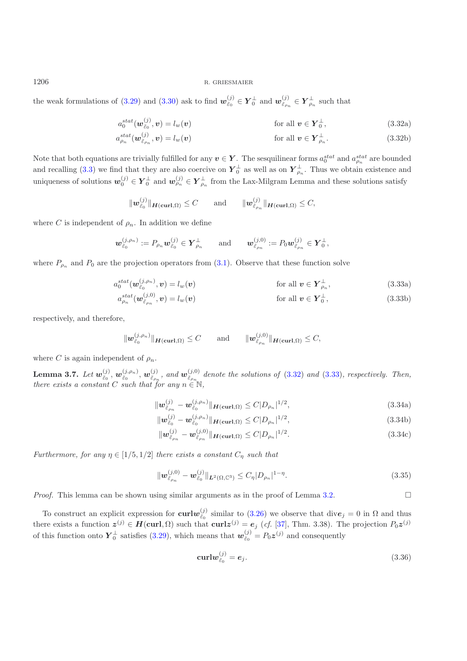the weak formulations of [\(3.29\)](#page-12-1) and [\(3.30\)](#page-12-2) ask to find  $w_{\tilde{\varepsilon}_0}^{(j)} \in Y_0^{\perp}$  and  $w_{\tilde{\varepsilon}_{\rho_n}}^{(j)} \in Y_{\rho_n}^{\perp}$  such that

<span id="page-13-0"></span>
$$
a_0^{stat}(\boldsymbol{w}_{\tilde{\varepsilon}_0}^{(j)},\boldsymbol{v})=l_w(\boldsymbol{v})
$$
 for all  $\boldsymbol{v}\in \boldsymbol{Y}_0^{\perp}$ , (3.32a)

$$
a_{\rho_n}^{stat}(\boldsymbol{w}_{\tilde{\varepsilon}_{\rho_n}}^{(j)},\boldsymbol{v})=l_w(\boldsymbol{v})
$$
 for all  $\boldsymbol{v}\in\boldsymbol{Y}_{\rho_n}^{\perp}.$  (3.32b)

Note that both equations are trivially fulfilled for any  $v \in Y$ . The sesquilinear forms  $a_0^{stat}$  and  $a_{\rho_n}^{stat}$  are bounded and recalling [\(3.3\)](#page-6-0) we find that they are also coercive on  $Y_0^{\perp}$  as well as on  $Y_{\rho_n}^{\perp}$ . Thus we obtain existence and uniqueness of solutions  $w_0^{(j)} \in Y_0^{\perp}$  and  $w_{\rho_n}^{(j)} \in Y_{\rho_n}^{\perp}$  from the Lax-Milgram Lemma and these solutions satisfy

<span id="page-13-1"></span>
$$
\|\mathbf{w}_{\tilde{\varepsilon}_0}^{(j)}\|_{\mathbf{H}(\mathbf{curl},\Omega)} \leq C \quad \text{and} \quad \|\mathbf{w}_{\tilde{\varepsilon}_{\rho_n}}^{(j)}\|_{\mathbf{H}(\mathbf{curl},\Omega)} \leq C,
$$

where C is independent of  $\rho_n$ . In addition we define

$$
\mathbf{w}^{(j,\rho_n)}_{\tilde{\varepsilon}_0}:=P_{\rho_n}\mathbf{w}^{(j)}_{\tilde{\varepsilon}_0}\in \pmb{Y}_{\rho_n}^\perp\qquad\text{and}\qquad \mathbf{w}^{(j,0)}_{\tilde{\varepsilon}_{\rho_n}}:=P_0\mathbf{w}^{(j)}_{\tilde{\varepsilon}_{\rho_n}}\in \pmb{Y}_0^\perp,
$$

where  $P_{\rho_n}$  and  $P_0$  are the projection operators from [\(3.1\)](#page-5-2). Observe that these function solve

$$
a_0^{stat}(\mathbf{w}_{\tilde{\varepsilon}_0}^{(j,\rho_n)}, \mathbf{v}) = l_w(\mathbf{v})
$$
 for all  $\mathbf{v} \in \mathbf{Y}_{\rho_n}^{\perp}$ , (3.33a)  
\n
$$
a_{\rho_n}^{stat}(\mathbf{w}_{\tilde{\varepsilon}_{\rho_n}}^{(j,0)}, \mathbf{v}) = l_w(\mathbf{v})
$$
 for all  $\mathbf{v} \in \mathbf{Y}_0^{\perp}$ , (3.33b)

respectively, and therefore,

$$
\|\mathbf{w}_{\tilde{\varepsilon}_0}^{(j,\rho_n)}\|_{\mathbf{H}(\mathbf{curl},\Omega)} \leq C \quad \text{and} \quad \|\mathbf{w}_{\tilde{\varepsilon}_{\rho_n}}^{(j,0)}\|_{\mathbf{H}(\mathbf{curl},\Omega)} \leq C,
$$

where C is again independent of  $\rho_n$ .

**Lemma 3.7.** *Let*  $w_{\tilde{\varepsilon}_0}^{(j)}$ ,  $w_{\tilde{\varepsilon}_p}^{(j,\rho_n)}$ ,  $w_{\tilde{\varepsilon}_{\rho_n}}^{(j)}$ , and  $w_{\tilde{\varepsilon}_{\rho_n}}^{(j,0)}$  denote the solutions of [\(3.32\)](#page-13-0) and [\(3.33\)](#page-13-1), respectively. Then, there exists a constant C such that for any  $n \$ *there exists a constant* C *such that for any*  $n \in \mathbb{N}$ ,

<span id="page-13-2"></span>
$$
\|\mathbf{w}_{\tilde{\varepsilon}_{\rho_n}}^{(j)} - \mathbf{w}_{\tilde{\varepsilon}_0}^{(j,\rho_n)}\|_{\mathbf{H}(\mathrm{curl},\Omega)} \le C|D_{\rho_n}|^{1/2},\tag{3.34a}
$$

$$
\|\mathbf{w}_{\tilde{\varepsilon}_0}^{(j)} - \mathbf{w}_{\tilde{\varepsilon}_0}^{(j,\rho_n)}\|_{\mathbf{H}(\mathbf{curl},\Omega)} \le C|D_{\rho_n}|^{1/2},\tag{3.34b}
$$

$$
\|\mathbf{w}_{\tilde{\varepsilon}_{\rho_n}}^{(j)} - \mathbf{w}_{\tilde{\varepsilon}_{\rho_n}}^{(j,0)}\|_{\mathbf{H}(\mathbf{curl},\Omega)} \le C|D_{\rho_n}|^{1/2}.
$$
\n(3.34c)

*Furthermore, for any*  $\eta \in [1/5, 1/2]$  *there exists a constant*  $C_{\eta}$  *such that* 

<span id="page-13-4"></span>
$$
\|\mathbf{w}_{\tilde{\varepsilon}_{\rho_n}}^{(j,0)} - \mathbf{w}_{\tilde{\varepsilon}_0}^{(j)}\|_{\mathbf{L}^2(\Omega,\mathbb{C}^3)} \le C_\eta |D_{\rho_n}|^{1-\eta}.
$$
\n(3.35)

*Proof.* This lemma can be shown using similar arguments as in the proof of Lemma [3.2.](#page-4-0)  $\Box$ 

To construct an explicit expression for **curl***w*(*j*)</sub> similar to [\(3.26\)](#page-11-3) we observe that div $e_j = 0$  in  $\Omega$  and thus there exists a function  $z^{(j)} \in H(\text{curl}, \Omega)$  such that  $\text{curl}z^{(j)} = e_j$  (*cf.* [\[37\]](#page-25-8), Thm. 3.38). The projection  $P_0z^{(j)}$ of this function onto  $Y_0^{\perp}$  satisfies [\(3.29\)](#page-12-1), which means that  $w_{\tilde{\varepsilon}_0}^{(j)} = P_0 \mathbf{z}^{(j)}$  and consequently

<span id="page-13-3"></span>
$$
\operatorname{curl} \boldsymbol{w}_{\tilde{\varepsilon}_0}^{(j)} = \boldsymbol{e}_j. \tag{3.36}
$$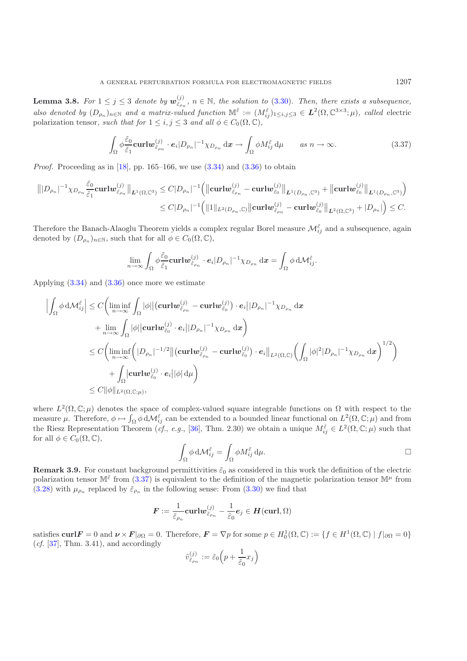**Lemma 3.8.** For  $1 \leq j \leq 3$  denote by  $w_{\tilde{\varepsilon}_{\rho_n}}^{(j)}$ ,  $n \in \mathbb{N}$ , the solution to [\(3.30\)](#page-12-2). Then, there exists a subsequence, *also denoted by*  $(D_{\rho_n})_{n\in\mathbb{N}}$  *and a matrix-valued function*  $\mathbb{M}^{\tilde{\varepsilon}} := (M_{ij}^{\tilde{\varepsilon}})_{1\leq i,j\leq 3} \in L^2(\Omega, \mathbb{C}^{3\times 3}; \mu)$ , called electric polarization tonsor, each that for  $1 \leq i, i \leq 3$  and all  $\phi \in C_$ polarization tensor, such that for  $1 \leq i, j \leq 3$  and all  $\phi \in C_0(\Omega, \mathbb{C})$ ,

$$
\int_{\Omega} \phi \frac{\tilde{\varepsilon}_0}{\tilde{\varepsilon}_1} \mathbf{curl} \mathbf{w}_{\tilde{\varepsilon}_{\rho_n}}^{(j)} \cdot \mathbf{e}_i |D_{\rho_n}|^{-1} \chi_{D_{\rho_n}} \, \mathrm{d}\mathbf{x} \to \int_{\Omega} \phi M_{ij}^{\tilde{\varepsilon}} \, \mathrm{d}\mu \qquad \text{as } n \to \infty. \tag{3.37}
$$

<span id="page-14-0"></span>*Proof.* Proceeding as in [\[18](#page-24-4)], pp. 165–166, we use  $(3.34)$  and  $(3.36)$  to obtain

$$
\| |D_{\rho_n}|^{-1}\chi_{D_{\rho_n}}\frac{\tilde{\varepsilon}_0}{\tilde{\varepsilon}_1}\mathbf{curl} \mathbf{w}_{\tilde{\varepsilon}_{\rho_n}}^{(j)}\|_{\mathbf{L}^1(\Omega,\mathbb{C}^3)} \leq C|D_{\rho_n}|^{-1} \Big( \|\mathbf{curl} \mathbf{w}_{\tilde{\varepsilon}_{\rho_n}}^{(j)} - \mathbf{curl} \mathbf{w}_{\tilde{\varepsilon}_0}^{(j)}\|_{\mathbf{L}^1(D_{\rho_n},\mathbb{C}^3)} + \|\mathbf{curl} \mathbf{w}_{\tilde{\varepsilon}_0}^{(j)}\|_{\mathbf{L}^1(D_{\rho_n},\mathbb{C}^3)} \Big) \\ \leq C|D_{\rho_n}|^{-1} \Big( \|1\|_{L^2(D_{\rho_n},\mathbb{C})} \|\mathbf{curl} \mathbf{w}_{\tilde{\varepsilon}_{\rho_n}}^{(j)} - \mathbf{curl} \mathbf{w}_{\tilde{\varepsilon}_0}^{(j)}\|_{\mathbf{L}^2(\Omega,\mathbb{C}^3)} + |D_{\rho_n}| \Big) \leq C.
$$

Therefore the Banach-Alaoglu Theorem yields a complex regular Borel measure  $\mathcal{M}^{\tilde{\varepsilon}}_{ij}$  and a subsequence, again denoted by  $(D_{\rho_n})_{n\in\mathbb{N}}$ , such that for all  $\phi \in C_0(\Omega,\mathbb{C}),$ 

$$
\lim_{n\to\infty}\int_{\Omega}\phi\frac{\tilde{\varepsilon}_0}{\tilde{\varepsilon}_1}\mathbf{curl}\boldsymbol{w}_{\tilde{\varepsilon}_{\rho_n}}^{(j)}\cdot\boldsymbol{e}_i|D_{\rho_n}|^{-1}\chi_{D_{\rho_n}}\,\mathrm{d}\boldsymbol{x}=\int_{\Omega}\phi\,\mathrm{d}\mathcal{M}_{ij}^{\tilde{\varepsilon}}.
$$

Applying [\(3.34\)](#page-13-2) and [\(3.36\)](#page-13-3) once more we estimate

$$
\left| \int_{\Omega} \phi \, d\mathcal{M}_{ij}^{\tilde{\varepsilon}} \right| \leq C \bigg( \liminf_{n \to \infty} \int_{\Omega} |\phi| \big| (\operatorname{\mathbf{curl}} \boldsymbol{w}_{\tilde{\varepsilon}_{\rho_n}}^{(j)} - \operatorname{\mathbf{curl}} \boldsymbol{w}_{\tilde{\varepsilon}_0}^{(j)}) \cdot e_i ||D_{\rho_n}|^{-1} \chi_{D_{\rho_n}} \, dx \n+ \lim_{n \to \infty} \int_{\Omega} |\phi| |\operatorname{\mathbf{curl}} \boldsymbol{w}_{\tilde{\varepsilon}_0}^{(j)} \cdot e_i ||D_{\rho_n}|^{-1} \chi_{D_{\rho_n}} \, dx \bigg) \n\leq C \bigg( \liminf_{n \to \infty} \bigg( |D_{\rho_n}|^{-1/2} \big| \big( \operatorname{\mathbf{curl}} \boldsymbol{w}_{\tilde{\varepsilon}_{\rho_n}}^{(j)} - \operatorname{\mathbf{curl}} \boldsymbol{w}_{\tilde{\varepsilon}_0}^{(j)} \big) \cdot e_i \big|_{L^2(\Omega, \mathbb{C})} \bigg( \int_{\Omega} |\phi|^2 |D_{\rho_n}|^{-1} \chi_{D_{\rho_n}} \, dx \bigg)^{1/2} \bigg) \n+ \int_{\Omega} |\operatorname{\mathbf{curl}} \boldsymbol{w}_{\tilde{\varepsilon}_0}^{(j)} \cdot e_i ||\phi| \, d\mu \bigg) \n\leq C ||\phi||_{L^2(\Omega, \mathbb{C}; \mu)},
$$

where  $L^2(\Omega,\mathbb{C};\mu)$  denotes the space of complex-valued square integrable functions on  $\Omega$  with respect to the measure  $\mu$ . Therefore,  $\phi \mapsto \int_{\Omega} \phi \, d\mathcal{M}_{ij}^{\tilde{\varepsilon}}$  can be extended to a bounded linear functional on  $L^2(\Omega,\mathbb{C};\mu)$  and from the Riesz Representation Theorem (*cf.*, *e.g.*, [\[36\]](#page-25-9), Thm. 2.30) we obtain a unique  $M_{ij}^{\tilde{\varepsilon}} \in L^2(\Omega, \mathbb{C}; \mu)$  such that for all  $\phi \in C_0(\Omega, \mathbb{C}),$ 

$$
\int_{\Omega} \phi \, \mathrm{d} \mathcal{M}_{ij}^{\tilde{\varepsilon}} = \int_{\Omega} \phi M_{ij}^{\tilde{\varepsilon}} \, \mathrm{d} \mu. \qquad \qquad \Box
$$

<span id="page-14-1"></span>**Remark 3.9.** For constant background permittivities  $\tilde{\epsilon}_0$  as considered in this work the definition of the electric polarization tensor  $\mathbb{M}^{\tilde{\varepsilon}}$  from [\(3.37\)](#page-14-0) is equivalent to the definition of the magnetic polarization tensor  $\mathbb{M}^{\mu}$  from [\(3.28\)](#page-12-0) with  $\mu_{\rho_n}$  replaced by  $\tilde{\epsilon}_{\rho_n}$  in the following sense: From [\(3.30\)](#page-12-2) we find that

$$
\boldsymbol{F}:=\frac{1}{\tilde{\varepsilon}_{\rho_n}}\text{curl} \boldsymbol{w}_{\tilde{\varepsilon}_{\rho_n}}^{(j)}-\frac{1}{\tilde{\varepsilon}_0}\boldsymbol{e}_j\in \boldsymbol{H}(\text{curl},\Omega)
$$

satisfies **curl***F* = 0 and  $\nu \times F|_{\partial\Omega} = 0$ . Therefore,  $F = \nabla p$  for some  $p \in H_0^1(\Omega, \mathbb{C}) := \{ f \in H^1(\Omega, \mathbb{C}) \mid f|_{\partial\Omega} = 0 \}$ (*cf.* [\[37\]](#page-25-8), Thm. 3.41), and accordingly

$$
\tilde{v}_{\tilde{\varepsilon}_{\rho_n}}^{(j)} := \tilde{\varepsilon}_0 \left( p + \frac{1}{\tilde{\varepsilon}_0} x_j \right)
$$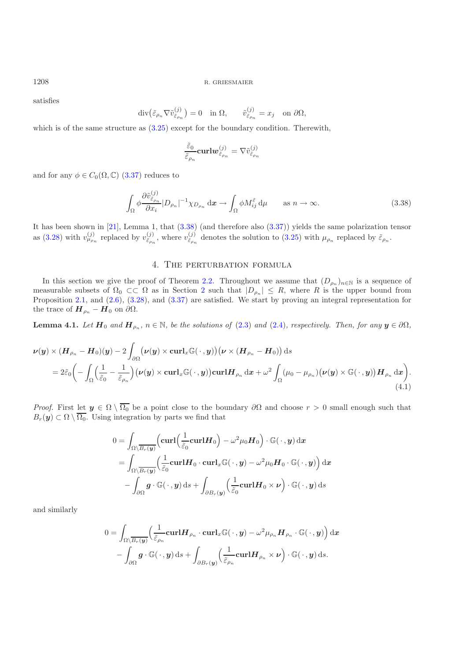satisfies

$$
\operatorname{div} \left( \tilde{\varepsilon}_{\rho_n} \nabla \tilde{v}_{\tilde{\varepsilon}_{\rho_n}}^{(j)} \right) = 0 \quad \text{in } \Omega, \qquad \tilde{v}_{\tilde{\varepsilon}_{\rho_n}}^{(j)} = x_j \quad \text{on } \partial \Omega,
$$

which is of the same structure as  $(3.25)$  except for the boundary condition. Therewith,

$$
\frac{\widetilde{\varepsilon}_0}{\widetilde{\varepsilon}_{\rho_n}}\mathbf{curl} \boldsymbol{w}_{\widetilde{\varepsilon}_{\rho_n}}^{(j)}=\nabla \widetilde{v}_{\widetilde{\varepsilon}_{\rho_n}}^{(j)}
$$

and for any  $\phi \in C_0(\Omega, \mathbb{C})$  [\(3.37\)](#page-14-0) reduces to

$$
\int_{\Omega} \phi \frac{\partial \tilde{v}_{\tilde{\varepsilon}_{p_n}}^{(j)}}{\partial x_i} |D_{\rho_n}|^{-1} \chi_{D_{\rho_n}} \, \mathrm{d}\mathbf{x} \to \int_{\Omega} \phi M_{ij}^{\tilde{\varepsilon}} \, \mathrm{d}\mu \qquad \text{as } n \to \infty. \tag{3.38}
$$

<span id="page-15-1"></span>It has been shown in [\[21\]](#page-24-6), Lemma 1, that [\(3.38\)](#page-15-1) (and therefore also [\(3.37\)](#page-14-0)) yields the same polarization tensor as [\(3.28\)](#page-12-0) with  $v_{\mu_{\rho_n}}^{(j)}$  replaced by  $v_{\tilde{\varepsilon}_{\rho_n}}^{(j)}$ , where  $v_{\tilde{\varepsilon}_{\rho_n}}^{(j)}$  denotes the solution to [\(3.25\)](#page-11-2) with  $\mu_{\rho_n}$  replaced by  $\tilde{\varepsilon}_{\rho_n}$ .

## <span id="page-15-2"></span>4. The perturbation formula

<span id="page-15-0"></span>In this section we give the proof of Theorem [2.2.](#page-4-0) Throughout we assume that  $(D_{\rho_n})_{n\in\mathbb{N}}$  is a sequence of measurable subsets of  $\Omega_0 \subset\subset \Omega$  as in Section [2](#page-2-2) such that  $|D_{\rho_n}| \leq R$ , where R is the upper bound from Proposition [2.1,](#page-3-2) and [\(2.6\)](#page-3-3), [\(3.28\)](#page-12-0), and [\(3.37\)](#page-14-0) are satisfied. We start by proving an integral representation for the trace of  $\boldsymbol{H}_{\rho_n} - \boldsymbol{H}_0$  on  $\partial\Omega$ .

**Lemma 4.1.** *Let*  $H_0$  *and*  $H_{\rho_n}$ *,*  $n \in \mathbb{N}$ *, be the solutions of* [\(2.3\)](#page-3-0) *and* [\(2.4\)](#page-3-1)*, respectively. Then, for any*  $y \in \partial\Omega$ *,* 

$$
\nu(y) \times (H_{\rho_n} - H_0)(y) - 2 \int_{\partial \Omega} (\nu(y) \times \operatorname{curl}_x \mathbb{G}(\cdot, y)) (\nu \times (H_{\rho_n} - H_0)) ds
$$
  
=  $2\tilde{\varepsilon}_0 \left( - \int_{\Omega} \left( \frac{1}{\tilde{\varepsilon}_0} - \frac{1}{\tilde{\varepsilon}_{\rho_n}} \right) (\nu(y) \times \operatorname{curl}_x \mathbb{G}(\cdot, y)) \operatorname{curl} H_{\rho_n} dx + \omega^2 \int_{\Omega} (\mu_0 - \mu_{\rho_n}) (\nu(y) \times \mathbb{G}(\cdot, y)) H_{\rho_n} dx \right). \tag{4.1}$ 

*Proof.* First let  $y \in \Omega \setminus \overline{\Omega_0}$  be a point close to the boundary  $\partial\Omega$  and choose  $r > 0$  small enough such that  $B_r(\mathbf{y}) \subset \Omega \setminus \overline{\Omega_0}$ . Using integration by parts we find that

$$
0 = \int_{\Omega \setminus \overline{B_r(y)}} \left( \mathbf{curl} \left( \frac{1}{\tilde{\varepsilon}_0} \mathbf{curl} \mathbf{H}_0 \right) - \omega^2 \mu_0 \mathbf{H}_0 \right) \cdot \mathbb{G}(\cdot, \mathbf{y}) \, \mathrm{d}\mathbf{x}
$$
  
= 
$$
\int_{\Omega \setminus \overline{B_r(y)}} \left( \frac{1}{\tilde{\varepsilon}_0} \mathbf{curl} \mathbf{H}_0 \cdot \mathbf{curl}_x \mathbb{G}(\cdot, \mathbf{y}) - \omega^2 \mu_0 \mathbf{H}_0 \cdot \mathbb{G}(\cdot, \mathbf{y}) \right) \mathrm{d}\mathbf{x}
$$

$$
- \int_{\partial \Omega} \mathbf{g} \cdot \mathbb{G}(\cdot, \mathbf{y}) \, \mathrm{d}s + \int_{\partial B_r(\mathbf{y})} \left( \frac{1}{\tilde{\varepsilon}_0} \mathbf{curl} \mathbf{H}_0 \times \mathbf{\nu} \right) \cdot \mathbb{G}(\cdot, \mathbf{y}) \mathrm{d}s
$$

and similarly

$$
0 = \int_{\Omega \setminus \overline{B_r(y)}} \left( \frac{1}{\tilde{\varepsilon}_{\rho_n}} \mathbf{curl} \mathbf{H}_{\rho_n} \cdot \mathbf{curl}_x \mathbb{G}(\cdot, y) - \omega^2 \mu_{\rho_n} \mathbf{H}_{\rho_n} \cdot \mathbb{G}(\cdot, y) \right) dx
$$

$$
- \int_{\partial \Omega} \mathbf{g} \cdot \mathbb{G}(\cdot, y) ds + \int_{\partial B_r(y)} \left( \frac{1}{\tilde{\varepsilon}_{\rho_n}} \mathbf{curl} \mathbf{H}_{\rho_n} \times \mathbf{\nu} \right) \cdot \mathbb{G}(\cdot, y) ds.
$$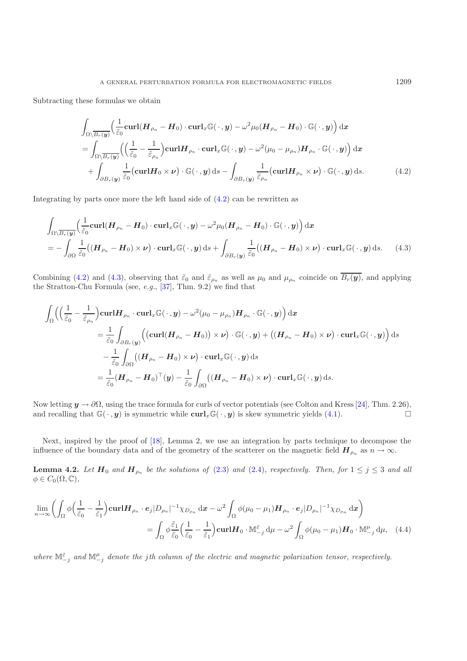<span id="page-16-0"></span>Subtracting these formulas we obtain

$$
\int_{\Omega\setminus\overline{B_r(y)}}\left(\frac{1}{\tilde{\varepsilon}_0}\operatorname{curl}(H_{\rho_n}-H_0)\cdot\operatorname{curl}_x\mathbb{G}(\cdot,y)-\omega^2\mu_0(H_{\rho_n}-H_0)\cdot\mathbb{G}(\cdot,y)\right)\mathrm{d}x
$$
\n
$$
=\int_{\Omega\setminus\overline{B_r(y)}}\left(\left(\frac{1}{\tilde{\varepsilon}_0}-\frac{1}{\tilde{\varepsilon}_{\rho_n}}\right)\operatorname{curl}H_{\rho_n}\cdot\operatorname{curl}_x\mathbb{G}(\cdot,y)-\omega^2(\mu_0-\mu_{\rho_n})H_{\rho_n}\cdot\mathbb{G}(\cdot,y)\right)\mathrm{d}x
$$
\n
$$
+\int_{\partial B_r(y)}\frac{1}{\tilde{\varepsilon}_0}(\operatorname{curl}H_0\times\nu)\cdot\mathbb{G}(\cdot,y)\mathrm{d}s-\int_{\partial B_r(y)}\frac{1}{\tilde{\varepsilon}_{\rho_n}}(\operatorname{curl}H_{\rho_n}\times\nu)\cdot\mathbb{G}(\cdot,y)\mathrm{d}s.\tag{4.2}
$$

Integrating by parts once more the left hand side of [\(4.2\)](#page-16-0) can be rewritten as

$$
\int_{\Omega\setminus\overline{B_r(\boldsymbol{y})}}\left(\frac{1}{\tilde{\varepsilon}_0}\mathbf{curl}(\boldsymbol{H}_{\rho_n}-\boldsymbol{H}_0)\cdot\mathbf{curl}_x\mathbb{G}(\cdot,\boldsymbol{y})-\omega^2\mu_0(\boldsymbol{H}_{\rho_n}-\boldsymbol{H}_0)\cdot\mathbb{G}(\cdot,\boldsymbol{y})\right)\mathrm{d}\boldsymbol{x}
$$
\n
$$
=-\int_{\partial\Omega}\frac{1}{\tilde{\varepsilon}_0}\big((\boldsymbol{H}_{\rho_n}-\boldsymbol{H}_0)\times\boldsymbol{\nu}\big)\cdot\mathbf{curl}_x\mathbb{G}(\cdot,\boldsymbol{y})\mathrm{d}s+\int_{\partial B_r(\boldsymbol{y})}\frac{1}{\tilde{\varepsilon}_0}\big((\boldsymbol{H}_{\rho_n}-\boldsymbol{H}_0)\times\boldsymbol{\nu}\big)\cdot\mathbf{curl}_x\mathbb{G}(\cdot,\boldsymbol{y})\mathrm{d}s.\qquad(4.3)
$$

<span id="page-16-1"></span>Combining [\(4.2\)](#page-16-0) and [\(4.3\)](#page-16-1), observing that  $\tilde{\varepsilon}_0$  and  $\tilde{\varepsilon}_{\rho_n}$  as well as  $\mu_0$  and  $\mu_{\rho_n}$  coincide on  $\overline{B_r(\mathbf{y})}$ , and applying the Stratton-Chu Formula (see, *e.g.*, [\[37\]](#page-25-8), Thm. 9.2) we find that

$$
\begin{split} \int_{\Omega} \Bigl( \Bigl( \frac{1}{\tilde{\varepsilon}_{0}} - \frac{1}{\tilde{\varepsilon}_{\rho_{n}}} \Bigr) {\bf curl} H_{\rho_{n}} \cdot {\bf curl}_{x} \mathbb{G}(\,\cdot\,,y) - \omega^{2}(\mu_{0} - \mu_{\rho_{n}}) H_{\rho_{n}} \cdot \mathbb{G}(\,\cdot\,,y) \Bigr) \, \mathrm{d}x \\ & = \frac{1}{\tilde{\varepsilon}_{0}} \int_{\partial B_{r}(y)} \Bigl( \bigl( {\bf curl}( \boldsymbol{H}_{\rho_{n}} - \boldsymbol{H}_{0} ) \bigr) \times \boldsymbol{\nu} \Bigr) \cdot \mathbb{G}(\,\cdot\,,y) + \bigl( (\boldsymbol{H}_{\rho_{n}} - \boldsymbol{H}_{0} ) \times \boldsymbol{\nu} \bigr) \cdot {\bf curl}_{x} \mathbb{G}(\,\cdot\,,y) \Bigr) \, \mathrm{d}s \\ & - \frac{1}{\tilde{\varepsilon}_{0}} \int_{\partial \Omega} \bigl( (\boldsymbol{H}_{\rho_{n}} - \boldsymbol{H}_{0} ) \times \boldsymbol{\nu} \bigr) \cdot {\bf curl}_{x} \mathbb{G}(\,\cdot\,,y) \, \mathrm{d}s \\ & = \frac{1}{\tilde{\varepsilon}_{0}} (\boldsymbol{H}_{\rho_{n}} - \boldsymbol{H}_{0} )^{\top} (y) - \frac{1}{\tilde{\varepsilon}_{0}} \int_{\partial \Omega} \bigl( (\boldsymbol{H}_{\rho_{n}} - \boldsymbol{H}_{0} ) \times \boldsymbol{\nu} \bigr) \cdot {\bf curl}_{x} \mathbb{G}(\,\cdot\,,y) \, \mathrm{d}s. \end{split}
$$

Now letting *y* <sup>→</sup> <sup>∂</sup>Ω, using the trace formula for curls of vector potentials (see Colton and Kress [\[24](#page-24-25)], Thm. 2.26), and recalling that  $\mathbb{G}(\cdot, \mathbf{y})$  is symmetric while  $\text{curl}_x\mathbb{G}(\cdot, \mathbf{y})$  is skew symmetric yields [\(4.1\)](#page-15-2).  $\Box$ 

Next, inspired by the proof of [\[18\]](#page-24-4), Lemma 2, we use an integration by parts technique to decompose the influence of the boundary data and of the geometry of the scatterer on the magnetic field  $H_{\rho_n}$  as  $n \to \infty$ .

**Lemma 4.2.** Let  $H_0$  and  $H_{\rho_n}$  be the solutions of [\(2.3\)](#page-3-0) and [\(2.4\)](#page-3-1), respectively. Then, for  $1 \leq j \leq 3$  and all  $\phi \in C_0(\Omega, \mathbb{C}),$ 

<span id="page-16-2"></span>
$$
\lim_{n \to \infty} \left( \int_{\Omega} \phi \left( \frac{1}{\tilde{\varepsilon}_0} - \frac{1}{\tilde{\varepsilon}_1} \right) \mathbf{curl} \mathbf{H}_{\rho_n} \cdot \mathbf{e}_j |D_{\rho_n}|^{-1} \chi_{D_{\rho_n}} \, \mathrm{d}\mathbf{x} - \omega^2 \int_{\Omega} \phi(\mu_0 - \mu_1) \mathbf{H}_{\rho_n} \cdot \mathbf{e}_j |D_{\rho_n}|^{-1} \chi_{D_{\rho_n}} \, \mathrm{d}\mathbf{x} \right)
$$
\n
$$
= \int_{\Omega} \phi \frac{\tilde{\varepsilon}_1}{\tilde{\varepsilon}_0} \left( \frac{1}{\tilde{\varepsilon}_0} - \frac{1}{\tilde{\varepsilon}_1} \right) \mathbf{curl} \mathbf{H}_0 \cdot \mathbb{M}^{\tilde{\varepsilon}}_{-j} \, \mathrm{d}\mu - \omega^2 \int_{\Omega} \phi(\mu_0 - \mu_1) \mathbf{H}_0 \cdot \mathbb{M}^{\mu}_{-j} \, \mathrm{d}\mu, \quad (4.4)
$$

 $where \mathbb{M}_{-j}^{\tilde{\varepsilon}}$  and  $\mathbb{M}_{-j}^{\mu}$  denote the jth column of the electric and magnetic polarization tensor, respectively.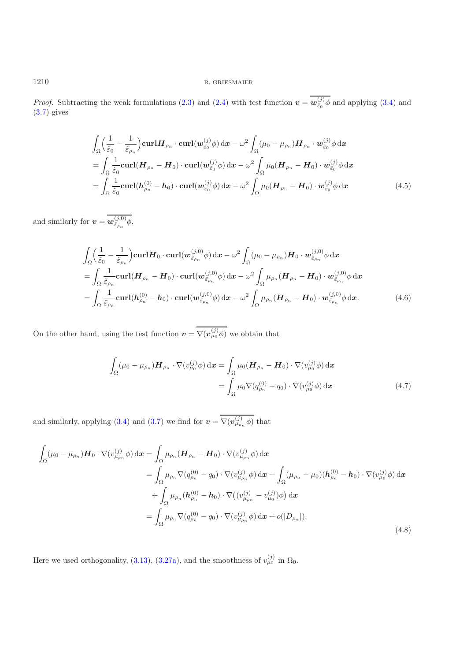*Proof.* Subtracting the weak formulations [\(2.3\)](#page-3-0) and [\(2.4\)](#page-3-1) with test function  $\mathbf{v} = \overline{\mathbf{w}_{\tilde{\varepsilon}_0}^{(j)} \phi}$  and applying [\(3.4\)](#page-6-1) and (3.7) gives [\(3.7\)](#page-6-2) gives

$$
\int_{\Omega} \left( \frac{1}{\tilde{\varepsilon}_0} - \frac{1}{\tilde{\varepsilon}_{\rho_n}} \right) \operatorname{curl} \boldsymbol{H}_{\rho_n} \cdot \operatorname{curl}(\boldsymbol{w}_{\tilde{\varepsilon}_0}^{(j)} \phi) \, \mathrm{d}\boldsymbol{x} - \omega^2 \int_{\Omega} (\mu_0 - \mu_{\rho_n}) \boldsymbol{H}_{\rho_n} \cdot \boldsymbol{w}_{\tilde{\varepsilon}_0}^{(j)} \phi \, \mathrm{d}\boldsymbol{x} \n= \int_{\Omega} \frac{1}{\tilde{\varepsilon}_0} \operatorname{curl}(\boldsymbol{H}_{\rho_n} - \boldsymbol{H}_0) \cdot \operatorname{curl}(\boldsymbol{w}_{\tilde{\varepsilon}_0}^{(j)} \phi) \, \mathrm{d}\boldsymbol{x} - \omega^2 \int_{\Omega} \mu_0 (\boldsymbol{H}_{\rho_n} - \boldsymbol{H}_0) \cdot \boldsymbol{w}_{\tilde{\varepsilon}_0}^{(j)} \phi \, \mathrm{d}\boldsymbol{x} \n= \int_{\Omega} \frac{1}{\tilde{\varepsilon}_0} \operatorname{curl}(\boldsymbol{h}_{\rho_n}^{(0)} - \boldsymbol{h}_0) \cdot \operatorname{curl}(\boldsymbol{w}_{\tilde{\varepsilon}_0}^{(j)} \phi) \, \mathrm{d}\boldsymbol{x} - \omega^2 \int_{\Omega} \mu_0 (\boldsymbol{H}_{\rho_n} - \boldsymbol{H}_0) \cdot \boldsymbol{w}_{\tilde{\varepsilon}_0}^{(j)} \phi \, \mathrm{d}\boldsymbol{x}
$$
\n(4.5)

<span id="page-17-1"></span>and similarly for  $\boldsymbol{v} = \overline{\boldsymbol{w}_{\tilde{\varepsilon}_{\rho_n}}^{(j,0)} \phi},$ 

$$
\int_{\Omega} \left( \frac{1}{\tilde{\varepsilon}_0} - \frac{1}{\tilde{\varepsilon}_{\rho_n}} \right) \operatorname{curl} H_0 \cdot \operatorname{curl}(\boldsymbol{w}_{\tilde{\varepsilon}_{\rho_n}}^{(j,0)} \phi) \, \mathrm{d}\boldsymbol{x} - \omega^2 \int_{\Omega} (\mu_0 - \mu_{\rho_n}) H_0 \cdot \boldsymbol{w}_{\tilde{\varepsilon}_{\rho_n}}^{(j,0)} \phi \, \mathrm{d}\boldsymbol{x} \n= \int_{\Omega} \frac{1}{\tilde{\varepsilon}_{\rho_n}} \operatorname{curl}(\boldsymbol{H}_{\rho_n} - \boldsymbol{H}_0) \cdot \operatorname{curl}(\boldsymbol{w}_{\tilde{\varepsilon}_{\rho_n}}^{(j,0)} \phi) \, \mathrm{d}\boldsymbol{x} - \omega^2 \int_{\Omega} \mu_{\rho_n} (\boldsymbol{H}_{\rho_n} - \boldsymbol{H}_0) \cdot \boldsymbol{w}_{\tilde{\varepsilon}_{\rho_n}}^{(j,0)} \phi \, \mathrm{d}\boldsymbol{x} \n= \int_{\Omega} \frac{1}{\tilde{\varepsilon}_{\rho_n}} \operatorname{curl}(\boldsymbol{h}_{\rho_n}^{(0)} - \boldsymbol{h}_0) \cdot \operatorname{curl}(\boldsymbol{w}_{\tilde{\varepsilon}_{\rho_n}}^{(j,0)} \phi) \, \mathrm{d}\boldsymbol{x} - \omega^2 \int_{\Omega} \mu_{\rho_n} (\boldsymbol{H}_{\rho_n} - \boldsymbol{H}_0) \cdot \boldsymbol{w}_{\tilde{\varepsilon}_{\rho_n}}^{(j,0)} \phi \, \mathrm{d}\boldsymbol{x}.
$$
\n(4.6)

<span id="page-17-0"></span>On the other hand, using the test function  $v = \overline{\nabla(v_{\mu_0}^{(j)}\phi)}$  we obtain that

$$
\int_{\Omega} (\mu_0 - \mu_{\rho_n}) \mathbf{H}_{\rho_n} \cdot \nabla (v_{\mu_0}^{(j)} \phi) dx = \int_{\Omega} \mu_0 (\mathbf{H}_{\rho_n} - \mathbf{H}_0) \cdot \nabla (v_{\mu_0}^{(j)} \phi) dx
$$
\n
$$
= \int_{\Omega} \mu_0 \nabla (q_{\rho_n}^{(0)} - q_0) \cdot \nabla (v_{\mu_0}^{(j)} \phi) dx \tag{4.7}
$$

<span id="page-17-3"></span>and similarly, applying [\(3.4\)](#page-6-1) and [\(3.7\)](#page-6-2) we find for  $v = \overline{\nabla(v_{\mu_{\rho_n}}^{(j)} \phi)}$  that

<span id="page-17-2"></span>
$$
\int_{\Omega} (\mu_0 - \mu_{\rho_n}) \mathbf{H}_0 \cdot \nabla (v_{\mu_{\rho_n}}^{(j)} \phi) dx = \int_{\Omega} \mu_{\rho_n} (\mathbf{H}_{\rho_n} - \mathbf{H}_0) \cdot \nabla (v_{\mu_{\rho_n}}^{(j)} \phi) dx \n= \int_{\Omega} \mu_{\rho_n} \nabla (q_{\rho_n}^{(0)} - q_0) \cdot \nabla (v_{\mu_{\rho_n}}^{(j)} \phi) dx + \int_{\Omega} (\mu_{\rho_n} - \mu_0) (\mathbf{h}_{\rho_n}^{(0)} - \mathbf{h}_0) \cdot \nabla (v_{\mu_0}^{(j)} \phi) dx \n+ \int_{\Omega} \mu_{\rho_n} (\mathbf{h}_{\rho_n}^{(0)} - \mathbf{h}_0) \cdot \nabla ((v_{\mu_{\rho_n}}^{(j)} - v_{\mu_0}^{(j)}) \phi) dx \n= \int_{\Omega} \mu_{\rho_n} \nabla (q_{\rho_n}^{(0)} - q_0) \cdot \nabla (v_{\mu_{\rho_n}}^{(j)} \phi) dx + o(|D_{\rho_n}|).
$$
\n(4.8)

Here we used orthogonality, [\(3.13\)](#page-7-3), [\(3.27a\)](#page-12-3), and the smoothness of  $v_{\mu_0}^{(j)}$  in  $\Omega_0$ .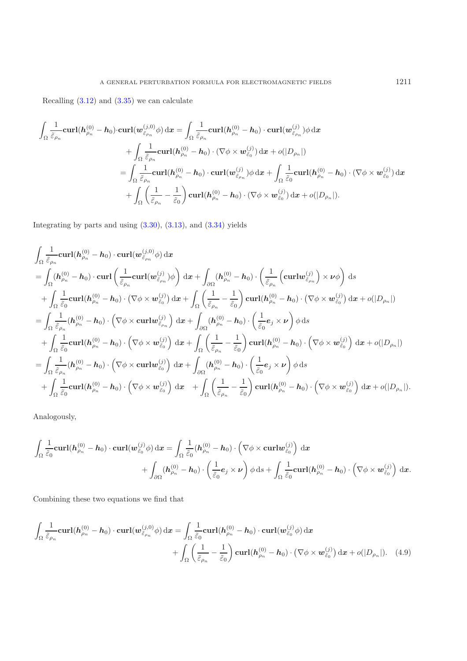Recalling  $(3.12)$  and  $(3.35)$  we can calculate

$$
\int_{\Omega} \frac{1}{\tilde{\varepsilon}_{\rho_n}} \mathbf{curl}(\mathbf{h}_{\rho_n}^{(0)} - \mathbf{h}_0) \cdot \mathbf{curl}(\mathbf{w}_{\tilde{\varepsilon}_{\rho_n}}^{(j,0)} \phi) d\mathbf{x} = \int_{\Omega} \frac{1}{\tilde{\varepsilon}_{\rho_n}} \mathbf{curl}(\mathbf{h}_{\rho_n}^{(0)} - \mathbf{h}_0) \cdot \mathbf{curl}(\mathbf{w}_{\tilde{\varepsilon}_{\rho_n}}^{(j)}) \phi d\mathbf{x} \n+ \int_{\Omega} \frac{1}{\tilde{\varepsilon}_{\rho_n}} \mathbf{curl}(\mathbf{h}_{\rho_n}^{(0)} - \mathbf{h}_0) \cdot (\nabla \phi \times \mathbf{w}_{\tilde{\varepsilon}_0}^{(j)}) d\mathbf{x} + o(|D_{\rho_n}|) \n= \int_{\Omega} \frac{1}{\tilde{\varepsilon}_{\rho_n}} \mathbf{curl}(\mathbf{h}_{\rho_n}^{(0)} - \mathbf{h}_0) \cdot \mathbf{curl}(\mathbf{w}_{\tilde{\varepsilon}_{\rho_n}}^{(j)}) \phi d\mathbf{x} + \int_{\Omega} \frac{1}{\tilde{\varepsilon}_0} \mathbf{curl}(\mathbf{h}_{\rho_n}^{(0)} - \mathbf{h}_0) \cdot (\nabla \phi \times \mathbf{w}_{\tilde{\varepsilon}_0}^{(j)}) d\mathbf{x} \n+ \int_{\Omega} \left( \frac{1}{\tilde{\varepsilon}_{\rho_n}} - \frac{1}{\tilde{\varepsilon}_0} \right) \mathbf{curl}(\mathbf{h}_{\rho_n}^{(0)} - \mathbf{h}_0) \cdot (\nabla \phi \times \mathbf{w}_{\tilde{\varepsilon}_0}^{(j)}) d\mathbf{x} + o(|D_{\rho_n}|).
$$

Integrating by parts and using [\(3.30\)](#page-12-2), [\(3.13\)](#page-7-3), and [\(3.34\)](#page-13-2) yields

$$
\int_{\Omega} \frac{1}{\tilde{\varepsilon}_{\rho_n}} \mathbf{curl}(\mathbf{h}_{\rho_n}^{(0)} - \mathbf{h}_0) \cdot \mathbf{curl}(\mathbf{w}_{\tilde{\varepsilon}_{\rho_n}}^{(j,0)} \phi) \, d\mathbf{x} \n= \int_{\Omega} (\mathbf{h}_{\rho_n}^{(0)} - \mathbf{h}_0) \cdot \mathbf{curl} \left( \frac{1}{\tilde{\varepsilon}_{\rho_n}} \mathbf{curl}(\mathbf{w}_{\tilde{\varepsilon}_{\rho_n}}^{(j)}) \phi \right) \, d\mathbf{x} + \int_{\partial\Omega} (\mathbf{h}_{\rho_n}^{(0)} - \mathbf{h}_0) \cdot \left( \frac{1}{\tilde{\varepsilon}_{\rho_n}} \left( \mathbf{curl}(\mathbf{w}_{\tilde{\varepsilon}_{\rho_n}}^{(j)}) \times \nu \phi \right) \, ds \n+ \int_{\Omega} \frac{1}{\tilde{\varepsilon}_0} \mathbf{curl}(\mathbf{h}_{\rho_n}^{(0)} - \mathbf{h}_0) \cdot (\nabla \phi \times \mathbf{w}_{\tilde{\varepsilon}_0}^{(j)}) \, d\mathbf{x} + \int_{\Omega} \left( \frac{1}{\tilde{\varepsilon}_{\rho_n}} - \frac{1}{\tilde{\varepsilon}_0} \right) \mathbf{curl}(\mathbf{h}_{\rho_n}^{(0)} - \mathbf{h}_0) \cdot (\nabla \phi \times \mathbf{w}_{\tilde{\varepsilon}_0}^{(j)}) \, d\mathbf{x} + o(|D_{\rho_n}|) \n= \int_{\Omega} \frac{1}{\tilde{\varepsilon}_{\rho_n}} (\mathbf{h}_{\rho_n}^{(0)} - \mathbf{h}_0) \cdot \left( \nabla \phi \times \mathbf{curl}(\mathbf{w}_{\tilde{\varepsilon}_{\rho_n}}^{(j)}) \, d\mathbf{x} + \int_{\partial\Omega} (\mathbf{h}_{\rho_n}^{(0)} - \mathbf{h}_0) \cdot \left( \frac{1}{\tilde{\varepsilon}_0} \mathbf{e}_j \times \nu \right) \phi \, ds \n+ \int_{\Omega} \frac{1}{\tilde{\varepsilon}_0} \mathbf{curl}(\mathbf{h}_{\rho_n}^{(0)} - \mathbf{h}_0) \cdot \left( \nabla \phi \times \mathbf{w}_{\tilde{\
$$

Analogously,

$$
\begin{split} \int_{\Omega}\frac{1}{\tilde{\varepsilon}_{0}}\mathbf{curl}(\bm{h}^{(0)}_{\rho_{n}}-\bm{h}_{0})\cdot\mathbf{curl}(\bm{w}^{(j)}_{\tilde{\varepsilon}_{0}}\phi)\,\mathrm{d}\bm{x}&=\int_{\Omega}\frac{1}{\tilde{\varepsilon}_{0}}(\bm{h}^{(0)}_{\rho_{n}}-\bm{h}_{0})\cdot\left(\nabla\phi\times\mathbf{curl} \bm{w}^{(j)}_{\tilde{\varepsilon}_{0}}\right)\,\mathrm{d}\bm{x}\\ &+\int_{\partial\Omega}(\bm{h}^{(0)}_{\rho_{n}}-\bm{h}_{0})\cdot\left(\frac{1}{\tilde{\varepsilon}_{0}}\bm{e}_{j}\times\bm{\nu}\right)\phi\,\mathrm{d}s+\int_{\Omega}\frac{1}{\tilde{\varepsilon}_{0}}\mathbf{curl}(\bm{h}^{(0)}_{\rho_{n}}-\bm{h}_{0})\cdot\left(\nabla\phi\times\bm{w}^{(j)}_{\tilde{\varepsilon}_{0}}\right)\,\mathrm{d}\bm{x}.\end{split}
$$

Combining these two equations we find that

<span id="page-18-0"></span>
$$
\int_{\Omega} \frac{1}{\tilde{\varepsilon}_{\rho_n}} \mathbf{curl}(\mathbf{h}_{\rho_n}^{(0)} - \mathbf{h}_0) \cdot \mathbf{curl}(\mathbf{w}_{\tilde{\varepsilon}_{\rho_n}}^{(j,0)} \phi) \, dx = \int_{\Omega} \frac{1}{\tilde{\varepsilon}_0} \mathbf{curl}(\mathbf{h}_{\rho_n}^{(0)} - \mathbf{h}_0) \cdot \mathbf{curl}(\mathbf{w}_{\tilde{\varepsilon}_0}^{(j)} \phi) \, dx + \int_{\Omega} \left( \frac{1}{\tilde{\varepsilon}_{\rho_n}} - \frac{1}{\tilde{\varepsilon}_0} \right) \mathbf{curl}(\mathbf{h}_{\rho_n}^{(0)} - \mathbf{h}_0) \cdot (\nabla \phi \times \mathbf{w}_{\tilde{\varepsilon}_0}^{(j)}) \, dx + o(|D_{\rho_n}|). \tag{4.9}
$$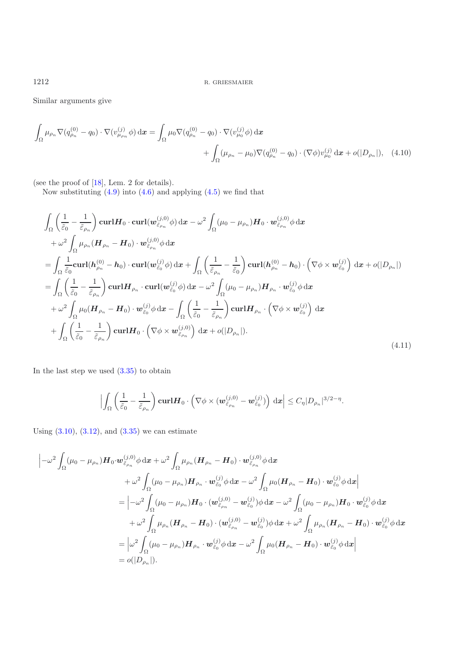Similar arguments give

$$
\int_{\Omega} \mu_{\rho_n} \nabla (q_{\rho_n}^{(0)} - q_0) \cdot \nabla (v_{\mu_{\rho_n}}^{(j)} \phi) dx = \int_{\Omega} \mu_0 \nabla (q_{\rho_n}^{(0)} - q_0) \cdot \nabla (v_{\mu_0}^{(j)} \phi) dx \n+ \int_{\Omega} (\mu_{\rho_n} - \mu_0) \nabla (q_{\rho_n}^{(0)} - q_0) \cdot (\nabla \phi) v_{\mu_0}^{(j)} dx + o(|D_{\rho_n}|), \quad (4.10)
$$

(see the proof of [\[18](#page-24-4)], Lem. 2 for details).

<span id="page-19-1"></span>Now substituting  $(4.9)$  into  $(4.6)$  and applying  $(4.5)$  we find that

<span id="page-19-0"></span>
$$
\int_{\Omega} \left( \frac{1}{\tilde{\varepsilon}_{0}} - \frac{1}{\tilde{\varepsilon}_{\rho_{n}}} \right) \mathbf{curl} \mathbf{H}_{0} \cdot \mathbf{curl} (\mathbf{w}_{\tilde{\varepsilon}_{\rho_{n}}}^{(j,0)} \phi) d\mathbf{x} - \omega^{2} \int_{\Omega} (\mu_{0} - \mu_{\rho_{n}}) \mathbf{H}_{0} \cdot \mathbf{w}_{\tilde{\varepsilon}_{\rho_{n}}}^{(j,0)} \phi d\mathbf{x} \n+ \omega^{2} \int_{\Omega} \mu_{\rho_{n}} (\mathbf{H}_{\rho_{n}} - \mathbf{H}_{0}) \cdot \mathbf{w}_{\tilde{\varepsilon}_{\rho_{n}}}^{(j,0)} \phi d\mathbf{x} \n= \int_{\Omega} \frac{1}{\tilde{\varepsilon}_{0}} \mathbf{curl} (\mathbf{h}_{\rho_{n}}^{(0)} - \mathbf{h}_{0}) \cdot \mathbf{curl} (\mathbf{w}_{\tilde{\varepsilon}_{0}}^{(j)} \phi) d\mathbf{x} + \int_{\Omega} \left( \frac{1}{\tilde{\varepsilon}_{\rho_{n}}} - \frac{1}{\tilde{\varepsilon}_{0}} \right) \mathbf{curl} (\mathbf{h}_{\rho_{n}}^{(0)} - \mathbf{h}_{0}) \cdot \left( \nabla \phi \times \mathbf{w}_{\tilde{\varepsilon}_{0}}^{(j)} \right) d\mathbf{x} + o(|D_{\rho_{n}}|)
$$
\n
$$
= \int_{\Omega} \left( \frac{1}{\tilde{\varepsilon}_{0}} - \frac{1}{\tilde{\varepsilon}_{\rho_{n}}} \right) \mathbf{curl} \mathbf{H}_{\rho_{n}} \cdot \mathbf{curl} (\mathbf{w}_{\tilde{\varepsilon}_{0}}^{(j)} \phi) d\mathbf{x} - \omega^{2} \int_{\Omega} (\mu_{0} - \mu_{\rho_{n}}) \mathbf{H}_{\rho_{n}} \cdot \mathbf{w}_{\tilde{\varepsilon}_{0}}^{(j)} \phi d\mathbf{x} \n+ \omega^{2} \int_{\Omega} \mu_{0} (\mathbf{H}_{\rho_{n}} - \mathbf{H}_{0}) \cdot \mathbf{w}_{\tilde{\varepsilon}_{0}}^{(j)} \phi d\mathbf{x} - \int_{\Omega} \left( \frac{1}{\tilde{\varepsilon}_{0}} - \frac{1}{\tilde{\v
$$

In the last step we used  $(3.35)$  to obtain

$$
\Big|\int_{\Omega}\left(\frac{1}{\tilde{\varepsilon}_0}-\frac{1}{\tilde{\varepsilon}_{\rho_n}}\right)\mathbf{curl}\boldsymbol{H}_0\cdot\left(\nabla\phi\times(\boldsymbol{w}_{\tilde{\varepsilon}_{\rho_n}}^{(j,0)}-\boldsymbol{w}_{\tilde{\varepsilon}_0}^{(j)})\right)\,\mathrm{d}\boldsymbol{x}\Big|\leq C_{\eta}|D_{\rho_n}|^{3/2-\eta}.
$$

Using  $(3.10)$ ,  $(3.12)$ , and  $(3.35)$  we can estimate

$$
\begin{split}\n&\left|-\omega^2\int_{\Omega}(\mu_0-\mu_{\rho_n})\boldsymbol{H}_0\cdot \boldsymbol{w}^{(j,0)}_{\tilde{\varepsilon}_{\rho_n}}\phi \,d\boldsymbol{x}+\omega^2\int_{\Omega}\mu_{\rho_n}(\boldsymbol{H}_{\rho_n}-\boldsymbol{H}_0)\cdot \boldsymbol{w}^{(j,0)}_{\tilde{\varepsilon}_{\rho_n}}\phi \,d\boldsymbol{x}\right. \\
&\left.+\omega^2\int_{\Omega}(\mu_0-\mu_{\rho_n})\boldsymbol{H}_{\rho_n}\cdot \boldsymbol{w}^{(j)}_{\tilde{\varepsilon}_0}\phi \,d\boldsymbol{x}-\omega^2\int_{\Omega}\mu_0(\boldsymbol{H}_{\rho_n}-\boldsymbol{H}_0)\cdot \boldsymbol{w}^{(j)}_{\tilde{\varepsilon}_0}\phi \,d\boldsymbol{x}\right| \\
&=\left|-\omega^2\int_{\Omega}(\mu_0-\mu_{\rho_n})\boldsymbol{H}_0\cdot (\boldsymbol{w}^{(j,0)}_{\tilde{\varepsilon}_{\rho_n}}-\boldsymbol{w}^{(j)}_{\tilde{\varepsilon}_0})\phi \,d\boldsymbol{x}-\omega^2\int_{\Omega}(\mu_0-\mu_{\rho_n})\boldsymbol{H}_0\cdot \boldsymbol{w}^{(j)}_{\tilde{\varepsilon}_0}\phi \,d\boldsymbol{x}\right. \\
&\left.+\omega^2\int_{\Omega}\mu_{\rho_n}(\boldsymbol{H}_{\rho_n}-\boldsymbol{H}_0)\cdot (\boldsymbol{w}^{(j,0)}_{\tilde{\varepsilon}_{\rho_n}}-\boldsymbol{w}^{(j)}_{\tilde{\varepsilon}_0})\phi \,d\boldsymbol{x}+\omega^2\int_{\Omega}\mu_{\rho_n}(\boldsymbol{H}_{\rho_n}-\boldsymbol{H}_0)\cdot \boldsymbol{w}^{(j)}_{\tilde{\varepsilon}_0}\phi \,d\boldsymbol{x}\right| \\
&=\left|\omega^2\int_{\Omega}(\mu_0-\mu_{\rho_n})\boldsymbol{H}_{\rho_n}\cdot \boldsymbol{w}^{(j)}_{\tilde{\varepsilon}_0}\phi \,d\boldsymbol{x}-\omega^2\int_{\Omega}\mu_0(\boldsymbol{H}_{\rho_n}-\boldsymbol{H}_0)\cdot \boldsymbol{w}^{(j)}_{\tilde{\varepsilon}_0}\phi \,d\boldsymbol{x}\right| \\
&=o(|D_{\rho_n}|).\n\end{split}
$$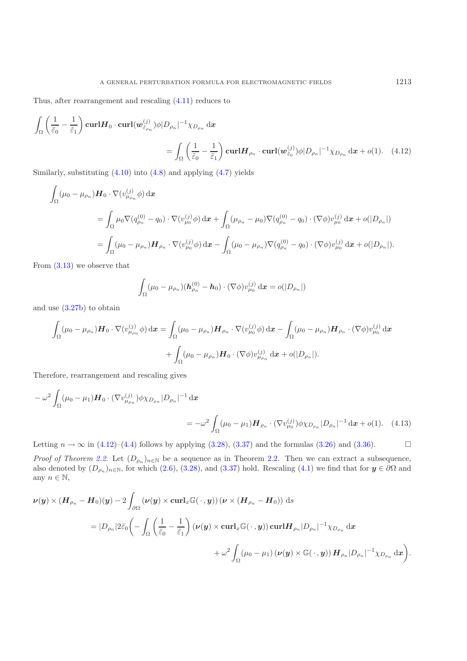Thus, after rearrangement and rescaling [\(4.11\)](#page-19-0) reduces to

$$
\int_{\Omega} \left( \frac{1}{\tilde{\varepsilon}_0} - \frac{1}{\tilde{\varepsilon}_1} \right) \mathbf{curl} \mathbf{H}_0 \cdot \mathbf{curl}(\mathbf{w}_{\tilde{\varepsilon}_{\rho_n}}^{(j)}) \phi |D_{\rho_n}|^{-1} \chi_{D_{\rho_n}} d\mathbf{x}
$$
\n
$$
= \int_{\Omega} \left( \frac{1}{\tilde{\varepsilon}_0} - \frac{1}{\tilde{\varepsilon}_1} \right) \mathbf{curl} \mathbf{H}_{\rho_n} \cdot \mathbf{curl}(\mathbf{w}_{\tilde{\varepsilon}_0}^{(j)}) \phi |D_{\rho_n}|^{-1} \chi_{D_{\rho_n}} d\mathbf{x} + o(1). \quad (4.12)
$$

Similarly, substituting [\(4.10\)](#page-19-1) into [\(4.8\)](#page-17-2) and applying [\(4.7\)](#page-17-3) yields

$$
\int_{\Omega} (\mu_0 - \mu_{\rho_n}) \mathbf{H}_0 \cdot \nabla (v_{\mu_{\rho_n}}^{(j)} \phi) \, d\mathbf{x}
$$
\n
$$
= \int_{\Omega} \mu_0 \nabla (q_{\rho_n}^{(0)} - q_0) \cdot \nabla (v_{\mu_0}^{(j)} \phi) \, d\mathbf{x} + \int_{\Omega} (\mu_{\rho_n} - \mu_0) \nabla (q_{\rho_n}^{(0)} - q_0) \cdot (\nabla \phi) v_{\mu_0}^{(j)} \, d\mathbf{x} + o(|D_{\rho_n}|)
$$
\n
$$
= \int_{\Omega} (\mu_0 - \mu_{\rho_n}) \mathbf{H}_{\rho_n} \cdot \nabla (v_{\mu_0}^{(j)} \phi) \, d\mathbf{x} - \int_{\Omega} (\mu_0 - \mu_{\rho_n}) \nabla (q_{\rho_n}^{(0)} - q_0) \cdot (\nabla \phi) v_{\mu_0}^{(j)} \, d\mathbf{x} + o(|D_{\rho_n}|).
$$

From [\(3.13\)](#page-7-3) we observe that

<span id="page-20-0"></span>
$$
\int_{\Omega} (\mu_0 - \mu_{\rho_n}) (\bm{h}^{(0)}_{\rho_n} - \bm{h}_0) \cdot (\nabla \phi) v^{(j)}_{\mu_0} \, \mathrm{d} \bm{x} = o(|D_{\rho_n}|)
$$

and use [\(3.27b\)](#page-12-4) to obtain

$$
\int_{\Omega} (\mu_0 - \mu_{\rho_n}) \mathbf{H}_0 \cdot \nabla (v_{\mu_{\rho_n}}^{(j)} \phi) dx = \int_{\Omega} (\mu_0 - \mu_{\rho_n}) \mathbf{H}_{\rho_n} \cdot \nabla (v_{\mu_0}^{(j)} \phi) dx - \int_{\Omega} (\mu_0 - \mu_{\rho_n}) \mathbf{H}_{\rho_n} \cdot (\nabla \phi) v_{\mu_0}^{(j)} dx
$$

$$
+ \int_{\Omega} (\mu_0 - \mu_{\rho_n}) \mathbf{H}_0 \cdot (\nabla \phi) v_{\mu_{\rho_n}}^{(j)} dx + o(|D_{\rho_n}|).
$$

Therefore, rearrangement and rescaling gives

$$
-\omega^2 \int_{\Omega} (\mu_0 - \mu_1) \mathbf{H}_0 \cdot (\nabla v_{\mu_{\rho_n}}^{(j)}) \phi \chi_{D_{\rho_n}} |D_{\rho_n}|^{-1} dx
$$
  
= 
$$
-\omega^2 \int_{\Omega} (\mu_0 - \mu_1) \mathbf{H}_{\rho_n} \cdot (\nabla v_{\mu_0}^{(j)}) \phi \chi_{D_{\rho_n}} |D_{\rho_n}|^{-1} dx + o(1).
$$
 (4.13)

Letting  $n \to \infty$  in [\(4.12\)](#page-20-0)–[\(4.4\)](#page-16-2) follows by applying [\(3.28\)](#page-12-0), [\(3.37\)](#page-14-0) and the formulas [\(3.26\)](#page-11-3) and [\(3.36\)](#page-13-3).  $\Box$ 

*Proof of Theorem [2.2.](#page-4-0)* Let  $(D_{\rho_n})_{n\in\mathbb{N}}$  be a sequence as in Theorem 2.2. Then we can extract a subsequence, also denoted by  $(D_{\rho_n})_{n\in\mathbb{N}}$ , for which [\(2.6\)](#page-3-3), [\(3.28\)](#page-12-0), and [\(3.37\)](#page-14-0) hold. Rescaling [\(4.1\)](#page-15-2) we find that for  $y \in \partial\Omega$  and any  $n \in \mathbb{N}$ ,

$$
\begin{aligned} \nu(y)\times (H_{\rho_n}-H_0)(y)-&\,2\int_{\partial\Omega}\left(\nu(y)\times \text{curl}_x\mathbb{G}(\,\cdot\,,y)\right)(\nu\times (H_{\rho_n}-H_0))\;\text{d} s\\ &=|D_{\rho_n}|2\tilde\varepsilon_0\bigg(-\int_\Omega\left(\frac{1}{\tilde\varepsilon_0}-\frac{1}{\tilde\varepsilon_1}\right)(\nu(y)\times\text{curl}_x\mathbb{G}(\,\cdot\,,y))\,\text{curl} H_{\rho_n}|D_{\rho_n}|^{-1}\chi_{D_{\rho_n}}\,\text{d} x\\ &\qquad\qquad +\omega^2\int_\Omega(\mu_0-\mu_1)\left(\nu(y)\times\mathbb{G}(\,\cdot\,,y)\right)H_{\rho_n}|D_{\rho_n}|^{-1}\chi_{D_{\rho_n}}\,\text{d} x\bigg). \end{aligned}
$$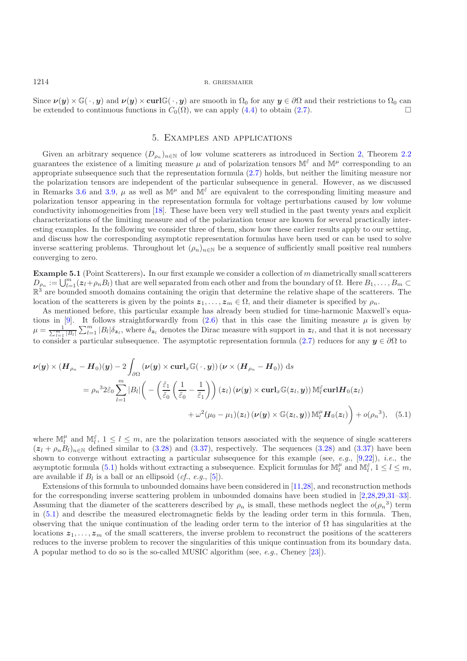Since  $\nu(y) \times \mathbb{G}(\cdot, y)$  and  $\nu(y) \times \text{curl}\mathbb{G}(\cdot, y)$  are smooth in  $\Omega_0$  for any  $y \in \partial\Omega$  and their restrictions to  $\Omega_0$  can be extended to continuous functions in  $C_0(\Omega)$  we can apply (4.4) to obtain (2.7) be extended to continuous functions in  $C_0(\Omega)$ , we can apply [\(4.4\)](#page-16-2) to obtain [\(2.7\)](#page-4-1).

# 5. Examples and applications

<span id="page-21-0"></span>Given an arbitrary sequence  $(D_{\rho_n})_{n\in\mathbb{N}}$  of low volume scatterers as introduced in Section [2,](#page-2-2) Theorem [2.2](#page-4-0) guarantees the existence of a limiting measure  $\mu$  and of polarization tensors  $\mathbb{M}^{\tilde{\varepsilon}}$  and  $\mathbb{M}^{\mu}$  corresponding to an appropriate subsequence such that the representation formula [\(2.7\)](#page-4-1) holds, but neither the limiting measure nor the polarization tensors are independent of the particular subsequence in general. However, as we discussed in Remarks [3.6](#page-12-5) and [3.9,](#page-14-1)  $\mu$  as well as  $\mathbb{M}^{\mu}$  and  $\mathbb{M}^{\tilde{\varepsilon}}$  are equivalent to the corresponding limiting measure and polarization tensor appearing in the representation formula for voltage perturbations caused by low volume conductivity inhomogeneities from [\[18](#page-24-4)]. These have been very well studied in the past twenty years and explicit characterizations of the limiting measure and of the polarization tensor are known for several practically interesting examples. In the following we consider three of them, show how these earlier results apply to our setting, and discuss how the corresponding asymptotic representation formulas have been used or can be used to solve inverse scattering problems. Throughout let  $(\rho_n)_{n\in\mathbb{N}}$  be a sequence of sufficiently small positive real numbers converging to zero.

**Example 5.1** (Point Scatterers)**.** In our first example we consider a collection of m diametrically small scatterers  $D_{\rho_n} := \bigcup_{l=1}^m (z_l + \rho_n B_l)$  that are well separated from each other and from the boundary of  $\Omega$ . Here  $B_1, \ldots, B_m \subset \mathbb{R}^3$  are bounded smooth domains containing the origin that determine the relative shape of the sc  $\mathbb{R}^3$  are bounded smooth domains containing the origin that determine the relative shape of the scatterers. The location of the scatterers is given by the points  $z_1, \ldots, z_m \in \Omega$ , and their diameter is specified by  $\rho_n$ .

As mentioned before, this particular example has already been studied for time-harmonic Maxwell's equa-tions in [\[9\]](#page-24-0). It follows straightforwardly from  $(2.6)$  that in this case the limiting measure  $\mu$  is given by  $\mu = \frac{1}{\sum_{l=1}^{m} |B_l|} \sum_{l=1}^{m} |B_l| \delta_{\mathbf{z}_l}$ , where  $\delta_{\mathbf{z}_l}$  denotes the Dirac measure with support in  $\mathbf{z}_l$ , and that it is not necessary to consider a particular subsequence. The asymptotic representation formula [\(2.7\)](#page-4-1) reduces for any  $y \in \partial \Omega$  to

$$
\nu(y) \times (H_{\rho_n} - H_0)(y) - 2 \int_{\partial \Omega} (\nu(y) \times \operatorname{curl}_x \mathbb{G}(\cdot, y)) (\nu \times (H_{\rho_n} - H_0)) ds
$$
  
\n
$$
= \rho_n^3 2 \tilde{\varepsilon}_0 \sum_{l=1}^m |B_l| \left( - \left( \frac{\tilde{\varepsilon}_1}{\tilde{\varepsilon}_0} \left( \frac{1}{\tilde{\varepsilon}_0} - \frac{1}{\tilde{\varepsilon}_1} \right) \right) (z_l) (\nu(y) \times \operatorname{curl}_x \mathbb{G}(z_l, y)) \mathbb{M}_l^{\tilde{\varepsilon}} \operatorname{curl} H_0(z_l)
$$
  
\n
$$
+ \omega^2 (\mu_0 - \mu_1)(z_l) (\nu(y) \times \mathbb{G}(z_l, y)) \mathbb{M}_l^{\mu} H_0(z_l) + o(\rho_n^3), \quad (5.1)
$$

<span id="page-21-1"></span>where  $\mathbb{M}_l^{\mu}$  and  $\mathbb{M}_l^{\tilde{\varepsilon}}$ ,  $1 \leq l \leq m$ , are the polarization tensors associated with the sequence of single scatterers  $(z_l + \rho_n B_l)_{n \in \mathbb{N}}$  defined similar to [\(3.28\)](#page-12-0) and [\(3.37\)](#page-14-0), respectively. The sequences (3.28) and (3.37) have been shown to converge without extracting a particular subsequence for this example (see, *e.g.*, [\[9](#page-24-0)[,22\]](#page-24-8)), *i.e.*, the asymptotic formula [\(5.1\)](#page-21-1) holds without extracting a subsequence. Explicit formulas for  $\mathbb{M}_{l}^{\mu}$  and  $\mathbb{M}_{l}^{\tilde{\varepsilon}}, 1 \leq l \leq m$ , are available if  $B_l$  is a ball or an ellipsoid (*cf.*, *e.g.*, [\[5](#page-24-21)]).

Extensions of this formula to unbounded domains have been considered in [\[11](#page-24-11)[,28](#page-24-1)], and reconstruction methods for the corresponding inverse scattering problem in unbounded domains have been studied in [\[2](#page-23-1)[,28](#page-24-1)[,29](#page-24-15)[,31](#page-24-16)[–33\]](#page-25-0). Assuming that the diameter of the scatterers described by  $\rho_n$  is small, these methods neglect the  $o(\rho_n^3)$  term in [\(5.1\)](#page-21-1) and describe the measured electromagnetic fields by the leading order term in this formula. Then, observing that the unique continuation of the leading order term to the interior of  $\Omega$  has singularities at the locations  $z_1, \ldots, z_m$  of the small scatterers, the inverse problem to reconstruct the positions of the scatterers reduces to the inverse problem to recover the singularities of this unique continuation from its boundary data. A popular method to do so is the so-called MUSIC algorithm (see, *e.g.*, Cheney [\[23](#page-24-26)]).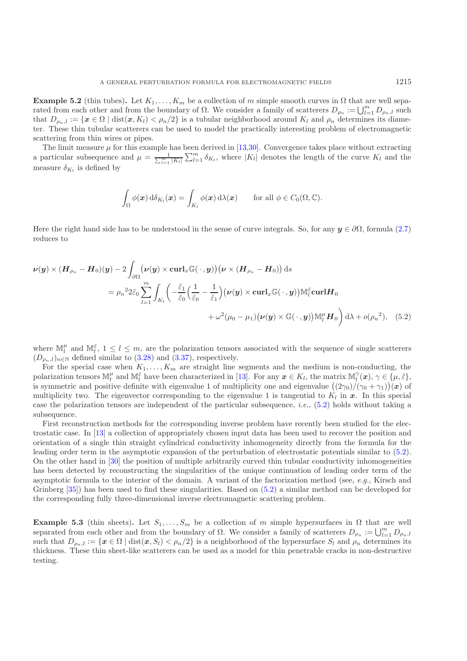**Example 5.2** (thin tubes). Let  $K_1, \ldots, K_m$  be a collection of m simple smooth curves in  $\Omega$  that are well separated from each other and from the boundary of  $\Omega$ . We consider a family of scatterers  $D_{\rho_n} := \bigcup_{l=1}^m D_{\rho_n,l}$  such that  $D_{\rho_n,l} := \{x \in \Omega \mid \text{dist}(x, K_l) < \rho_n/2\}$  is a tubular neighborhood around  $K_l$  and  $\rho_n$  determines its diameter. These thin tubular scatterers can be used to model the practically interesting problem of electromagnetic scattering from thin wires or pipes.

The limit measure  $\mu$  for this example has been derived in [\[13](#page-24-18)[,30\]](#page-24-19). Convergence takes place without extracting a particular subsequence and  $\mu = \frac{1}{\sum_{l=1}^{m} |K_l|} \sum_{l=1}^{m} \delta_{K_l}$ , where  $|K_l|$  denotes the length of the curve  $K_l$  and the measure  $\delta_{K_l}$  is defined by

<span id="page-22-0"></span>
$$
\int_{\Omega} \phi(\boldsymbol{x}) \, d\delta_{K_l}(\boldsymbol{x}) = \int_{K_l} \phi(\boldsymbol{x}) \, d\lambda(\boldsymbol{x}) \qquad \text{for all } \phi \in C_0(\Omega, \mathbb{C}).
$$

Here the right hand side has to be understood in the sense of curve integrals. So, for any  $y \in \partial \Omega$ , formula [\(2.7\)](#page-4-1) reduces to

$$
\nu(y) \times (H_{\rho_n} - H_0)(y) - 2 \int_{\partial \Omega} (\nu(y) \times \operatorname{curl}_x \mathbb{G}(\cdot, y)) (\nu \times (H_{\rho_n} - H_0)) ds
$$
  
\n
$$
= \rho_n^2 2 \tilde{\varepsilon}_0 \sum_{l=1}^m \int_{K_l} \left( -\frac{\tilde{\varepsilon}_1}{\tilde{\varepsilon}_0} \left( \frac{1}{\tilde{\varepsilon}_0} - \frac{1}{\tilde{\varepsilon}_1} \right) (\nu(y) \times \operatorname{curl}_x \mathbb{G}(\cdot, y)) M_l^{\tilde{\varepsilon}} \operatorname{curl} H_0
$$
  
\n
$$
+ \omega^2 (\mu_0 - \mu_1) (\nu(y) \times \mathbb{G}(\cdot, y)) M_l^{\mu} H_0 \right) d\lambda + o(\rho_n^2), \quad (5.2)
$$

where  $\mathbb{M}_l^{\mu}$  and  $\mathbb{M}_l^{\tilde{\varepsilon}}$ ,  $1 \leq l \leq m$ , are the polarization tensors associated with the sequence of single scatterers  $(D_{\rho_n,l})_{n\in\mathbb{N}}$  defined similar to [\(3.28\)](#page-12-0) and [\(3.37\)](#page-14-0), respectively.

For the special case when  $K_1, \ldots, K_m$  are straight line segments and the medium is non-conducting, the polarization tensors  $\mathbb{M}_{l}^{\mu}$  and  $\mathbb{M}_{l}^{\tilde{\epsilon}}$  have been characterized in [\[13](#page-24-18)]. For any  $\boldsymbol{x} \in K_{l}$ , the matrix  $\mathbb{M}_{l}^{\gamma}(\boldsymbol{x}), \gamma \in \{\mu, \tilde{\epsilon}\}\$ , is symmetric and positive definite with eigenvalue 1 of mult is symmetric and positive definite with eigenvalue 1 of multiplicity one and eigenvalue  $((2\gamma_0)/(\gamma_0 + \gamma_1))(\boldsymbol{x})$  of multiplicity two. The eigenvector corresponding to the eigenvalue 1 is tangential to K, in  $\boldsymbol{x}$ . In th multiplicity two. The eigenvector corresponding to the eigenvalue 1 is tangential to  $K_l$  in  $\boldsymbol{x}$ . In this special case the polarization tensors are independent of the particular subsequence, *i.e.*, [\(5.2\)](#page-22-0) holds without taking a subsequence.

First reconstruction methods for the corresponding inverse problem have recently been studied for the electrostatic case. In [\[13\]](#page-24-18) a collection of appropriately chosen input data has been used to recover the position and orientation of a single thin straight cylindrical conductivity inhomogeneity directly from the formula for the leading order term in the asymptotic expansion of the perturbation of electrostatic potentials similar to [\(5.2\)](#page-22-0). On the other hand in [\[30\]](#page-24-19) the position of multiple arbitrarily curved thin tubular conductivity inhomogeneities has been detected by reconstructing the singularities of the unique continuation of leading order term of the asymptotic formula to the interior of the domain. A variant of the factorization method (see, *e.g.*, Kirsch and Grinberg [\[35](#page-25-10)]) has been used to find these singularities. Based on [\(5.2\)](#page-22-0) a similar method can be developed for the corresponding fully three-dimensional inverse electromagnetic scattering problem.

**Example 5.3** (thin sheets). Let  $S_1, \ldots, S_m$  be a collection of m simple hypersurfaces in  $\Omega$  that are well separated from each other and from the boundary of  $\Omega$ . We consider a family of scatterers  $D_{\rho_n} := \bigcup_{l=1}^m D_{\rho_n,l}$ such that  $D_{\rho_n,l} := \{x \in \Omega \mid \text{dist}(x, S_l) < \rho_n/2\}$  is a neighborhood of the hypersurface  $S_l$  and  $\rho_n$  determines its thickness. These thin sheet-like scatterers can be used as a model for thin penetrable cracks in non-destructive testing.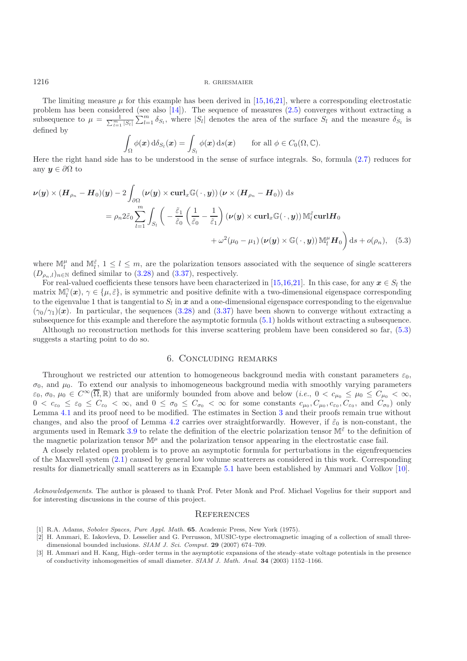The limiting measure  $\mu$  for this example has been derived in [\[15](#page-24-9)[,16](#page-24-10)[,21\]](#page-24-6), where a corresponding electrostatic problem has been considered (see also  $[14]$  $[14]$ ). The sequence of measures  $(2.5)$  converges without extracting a subsequence to  $\mu = \frac{1}{\sum_{l=1}^m |S_l|} \sum_{l=1}^m \delta_{S_l}$ , where  $|S_l|$  denotes the area of the surface  $S_l$  and the measure  $\delta_{S_l}$  is defined by

$$
\int_{\Omega} \phi(\boldsymbol{x}) \, d\delta_{S_l}(\boldsymbol{x}) = \int_{S_l} \phi(\boldsymbol{x}) \, ds(\boldsymbol{x}) \qquad \text{for all } \phi \in C_0(\Omega, \mathbb{C}).
$$

Here the right hand side has to be understood in the sense of surface integrals. So, formula [\(2.7\)](#page-4-1) reduces for any  $y \in \partial \Omega$  to

$$
\nu(\mathbf{y}) \times (\mathbf{H}_{\rho_n} - \mathbf{H}_0)(\mathbf{y}) - 2 \int_{\partial \Omega} (\nu(\mathbf{y}) \times \operatorname{curl}_x \mathbb{G}(\cdot, \mathbf{y})) (\nu \times (\mathbf{H}_{\rho_n} - \mathbf{H}_0)) \, \mathrm{d}s
$$
  
\n
$$
= \rho_n 2 \tilde{\varepsilon}_0 \sum_{l=1}^m \int_{S_l} \left( -\frac{\tilde{\varepsilon}_1}{\tilde{\varepsilon}_0} \left( \frac{1}{\tilde{\varepsilon}_0} - \frac{1}{\tilde{\varepsilon}_1} \right) (\nu(\mathbf{y}) \times \operatorname{curl}_x \mathbb{G}(\cdot, \mathbf{y})) \mathbb{M}_l^{\tilde{\varepsilon}} \operatorname{curl} \mathbf{H}_0 \right. \\ \left. + \omega^2 (\mu_0 - \mu_1) (\nu(\mathbf{y}) \times \mathbb{G}(\cdot, \mathbf{y})) \mathbb{M}_l^{\mu} \mathbf{H}_0 \right) \mathrm{d}s + o(\rho_n), \quad (5.3)
$$

where  $\mathbb{M}_l^{\mu}$  and  $\mathbb{M}_l^{\tilde{\varepsilon}}$ ,  $1 \leq l \leq m$ , are the polarization tensors associated with the sequence of single scatterers  $(D_{\rho_n,l})_{n\in\mathbb{N}}$  defined similar to [\(3.28\)](#page-12-0) and [\(3.37\)](#page-14-0), respectively.

For real-valued coefficients these tensors have been characterized in [\[15](#page-24-9)[,16](#page-24-10)[,21](#page-24-6)]. In this case, for any  $x \in S_l$  the matrix  $\mathbb{M}_{l}^{\gamma}(\boldsymbol{x}), \gamma \in \{\mu, \tilde{\varepsilon}\}\)$ , is symmetric and positive definite with a two-dimensional eigenspace corresponding to the eigenvalue to the eigenvalue 1 that is tangential to  $S_l$  in  $x$  and a one-dimensional eigenspace corresponding to the eigenvalue  $(\gamma_0/\gamma_1)(x)$ . In particular, the sequences [\(3.28\)](#page-12-0) and [\(3.37\)](#page-14-0) have been shown to converge without extracting a subsequence for this example and therefore the asymptotic formula [\(5.1\)](#page-21-1) holds without extracting a subsequence.

<span id="page-23-2"></span>Although no reconstruction methods for this inverse scattering problem have been considered so far, [\(5.3\)](#page-23-4) suggests a starting point to do so.

# <span id="page-23-4"></span>6. Concluding remarks

Throughout we restricted our attention to homogeneous background media with constant parameters  $\varepsilon_0$ .  $\sigma_0$ , and  $\mu_0$ . To extend our analysis to inhomogeneous background media with smoothly varying parameters  $\varepsilon_0$ ,  $\sigma_0$ ,  $\mu_0 \in C^\infty(\overline{\Omega}, \mathbb{R})$  that are uniformly bounded from above and below  $(i.e., 0 < c_{\mu_0} \leq \mu_0 \leq C_{\mu_0} < \infty$ ,  $0 < c_{\varepsilon_0} \leq \varepsilon_0 \leq C_{\varepsilon_0} < \infty$ , and  $0 \leq \sigma_0 \leq C_{\sigma_0} < \infty$  for some constants  $c_{\mu_0}, C_{\mu_0}, c_{\varepsilon_0}, C_{\varepsilon_0}$ , and  $C_{\sigma_0}$ ) only Lemma [4.1](#page-3-2) and its proof need to be modified. The estimates in Section [3](#page-5-0) and their proofs remain true without changes, and also the proof of Lemma [4.2](#page-4-0) carries over straightforwardly. However, if  $\tilde{\varepsilon}_0$  is non-constant, the arguments used in Remark [3.9](#page-14-1) to relate the definition of the electric polarization tensor  $\mathbb{M}^{\tilde{\varepsilon}}$  to the definition of the magnetic polarization tensor  $\mathbb{M}^{\mu}$  and the polarization tensor appearing in the electrostatic case fail.

A closely related open problem is to prove an asymptotic formula for perturbations in the eigenfrequencies of the Maxwell system [\(2.1\)](#page-2-0) caused by general low volume scatterers as considered in this work. Corresponding results for diametrically small scatterers as in Example [5.1](#page-3-2) have been established by Ammari and Volkov [\[10\]](#page-24-27).

*Acknowledgements*. The author is pleased to thank Prof. Peter Monk and Prof. Michael Vogelius for their support and for interesting discussions in the course of this project.

# **REFERENCES**

- <span id="page-23-3"></span>[1] R.A. Adams, Sobolev Spaces, Pure Appl. Math. **65**. Academic Press, New York (1975).
- <span id="page-23-1"></span>[2] H. Ammari, E. Iakovleva, D. Lesselier and G. Perrusson, MUSIC-type electromagnetic imaging of a collection of small threedimensional bounded inclusions. SIAM J. Sci. Comput. **29** (2007) 674–709.
- <span id="page-23-0"></span>[3] H. Ammari and H. Kang, High–order terms in the asymptotic expansions of the steady–state voltage potentials in the presence of conductivity inhomogeneities of small diameter. SIAM J. Math. Anal. **34** (2003) 1152–1166.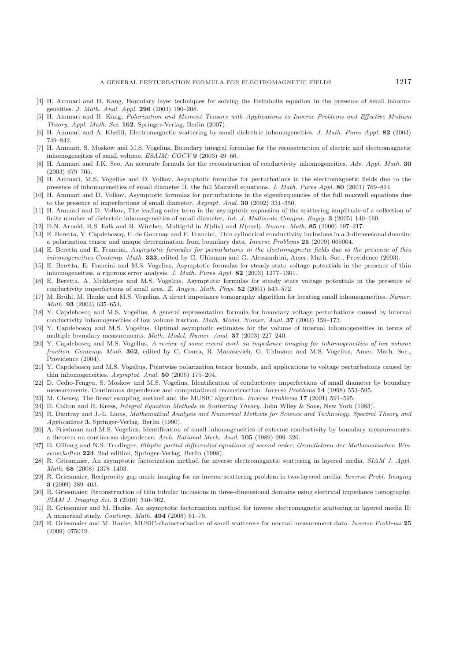- <span id="page-24-2"></span>[4] H. Ammari and H. Kang, Boundary layer techniques for solving the Helmholtz equation in the presence of small inhomogeneities. J. Math. Anal. Appl. **296** (2004) 190–208.
- <span id="page-24-21"></span>[5] H. Ammari and H. Kang, Polarization and Moment Tensors with Applications to Inverse Problems and Effective Medium Theory, Appl. Math. Sci. **162**. Springer-Verlag, Berlin (2007).
- <span id="page-24-3"></span>[6] H. Ammari and A. Khelifi, Electromagnetic scattering by small dielectric inhomogeneities. J. Math. Pures Appl. **82** (2003) 749–842.
- <span id="page-24-12"></span>[7] H. Ammari, S. Moskow and M.S. Vogelius, Boundary integral formulae for the reconstruction of electric and electromagnetic inhomogeneities of small volume. ESAIM: COCV **9** (2003) 49–66.
- <span id="page-24-13"></span>[8] H. Ammari and J.K. Seo, An accurate formula for the reconstruction of conductivity inhomogeneities. Adv. Appl. Math. **30** (2003) 679–705.
- [9] H. Ammari, M.S. Vogelius and D. Volkov, Asymptotic formulas for perturbations in the electromagnetic fields due to the presence of inhomogeneities of small diameter II. the full Maxwell equations. J. Math. Pures Appl. **80** (2001) 769–814.
- <span id="page-24-27"></span><span id="page-24-0"></span>[10] H. Ammari and D. Volkov, Asymptotic formulas for perturbations in the eigenfrequencies of the full maxwell equations due to the presence of imperfections of small diameter. Asympt. Anal. **30** (2002) 331–350.
- <span id="page-24-11"></span>[11] H. Ammari and D. Volkov, The leading order term in the asymptotic expansion of the scattering amplitude of a collection of finite number of dielectric inhomogeneities of small diameter. Int. J. Multiscale Comput. Engrg. **3** (2005) 149–160.
- [12] D.N. Arnold, R.S. Falk and R. Winther, Multigrid in *H*(div) and *H*(curl). Numer. Math. **85** (2000) 197–217.
- <span id="page-24-22"></span><span id="page-24-18"></span>[13] E. Beretta, Y. Capdeboscq, F. de Gournay and E. Francini, Thin cylindrical conductivity inclusions in a 3-dimensional domain: a polarization tensor and unique determination from boundary data. Inverse Problems **25** (2009) 065004.
- <span id="page-24-20"></span>[14] E. Beretta and E. Francini, Asymptotic formulas for perturbations in the electromagnetic fields due to the presence of thin inhomogeneities Contemp. Math. **333**, edited by G. Uhlmann and G. Alessandrini, Amer. Math. Soc., Providence (2003).
- <span id="page-24-9"></span>[15] E. Beretta, E. Francini and M.S. Vogelius, Asymptotic formulas for steady state voltage potentials in the presence of thin inhomogeneities. a rigorous error analysis. J. Math. Pures Appl. **82** (2003) 1277–1301.
- <span id="page-24-10"></span>[16] E. Beretta, A. Mukherjee and M.S. Vogelius, Asymptotic formulas for steady state voltage potentials in the presence of conductivity imperfections of small area. Z. Angew. Math. Phys. **52** (2001) 543–572.
- <span id="page-24-14"></span>[17] M. Brühl, M. Hanke and M.S. Vogelius, A direct impedance tomography algorithm for locating small inhomogeneities. Numer. Math. **93** (2003) 635–654.
- <span id="page-24-4"></span>[18] Y. Capdeboscq and M.S. Vogelius, A general representation formula for boundary voltage perturbations caused by internal conductivity inhomogeneities of low volume fraction. Math. Model. Numer. Anal. **37** (2003) 159–173.
- <span id="page-24-5"></span>[19] Y. Capdeboscq and M.S. Vogelius, Optimal asymptotic estimates for the volume of internal inhomogeneities in terms of multiple boundary measurements. Math. Model. Numer. Anal. **37** (2003) 227–240.
- [20] Y. Capdeboscq and M.S. Vogelius, A review of some recent work on impedance imaging for inhomogeneities of low volume fraction. Contemp. Math. **362**, edited by C. Conca, R. Manasevich, G. Uhlmann and M.S. Vogelius, Amer. Math. Soc., Providence (2004).
- <span id="page-24-6"></span>[21] Y. Capdeboscq and M.S. Vogelius, Pointwise polarization tensor bounds, and applications to voltage perturbations caused by thin inhomogeneities. Asymptot. Anal. **50** (2006) 175–204.
- <span id="page-24-8"></span>[22] D. Cedio-Fengya, S. Moskow and M.S. Vogelius, Identification of conductivity imperfections of small diameter by boundary measurements. Continuous dependence and computational reconstruction. Inverse Problems **14** (1998) 553–595.
- <span id="page-24-26"></span>[23] M. Cheney, The linear sampling method and the MUSIC algorithm. Inverse Problems **17** (2001) 591–595.
- <span id="page-24-25"></span>[24] D. Colton and R. Kress, Integral Equation Methods in Scattering Theory. John Wiley & Sons, New York (1983).
- <span id="page-24-23"></span>[25] R. Dautray and J.-L. Lions, Mathematical Analysis and Numerical Methods for Science and Technology. Spectral Theory and Applications **3**. Springer-Verlag, Berlin (1990).
- <span id="page-24-7"></span>[26] A. Friedman and M.S. Vogelius, Identification of small inhomogeneities of extreme conductivity by boundary measurements: a theorem on continuous dependence. Arch. Rational Mech. Anal. **105** (1989) 299–326.
- <span id="page-24-24"></span>[27] D. Gilbarg and N.S. Trudinger, Elliptic partial differential equations of second order, Grundlehren der Mathematischen Wissenschaften **224**. 2nd edition, Springer-Verlag, Berlin (1998).
- <span id="page-24-1"></span>[28] R. Griesmaier, An asymptotic factorization method for inverse electromagnetic scattering in layered media. SIAM J. Appl. Math. **68** (2008) 1378–1403.
- <span id="page-24-15"></span>[29] R. Griesmaier, Reciprocity gap music imaging for an inverse scattering problem in two-layered media. Inverse Probl. Imaging **3** (2009) 389–403.
- <span id="page-24-19"></span>[30] R. Griesmaier, Reconstruction of thin tubular inclusions in three-dimensional domains using electrical impedance tomography. SIAM J. Imaging Sci. **3** (2010) 340–362.
- <span id="page-24-16"></span>[31] R. Griesmaier and M. Hanke, An asymptotic factorization method for inverse electromagnetic scattering in layered media II: A numerical study. Contemp. Math. **494** (2008) 61–79.
- <span id="page-24-17"></span>[32] R. Griesmaier and M. Hanke, MUSIC-characterization of small scatterers for normal measurement data. Inverse Problems **25** (2009) 075012.